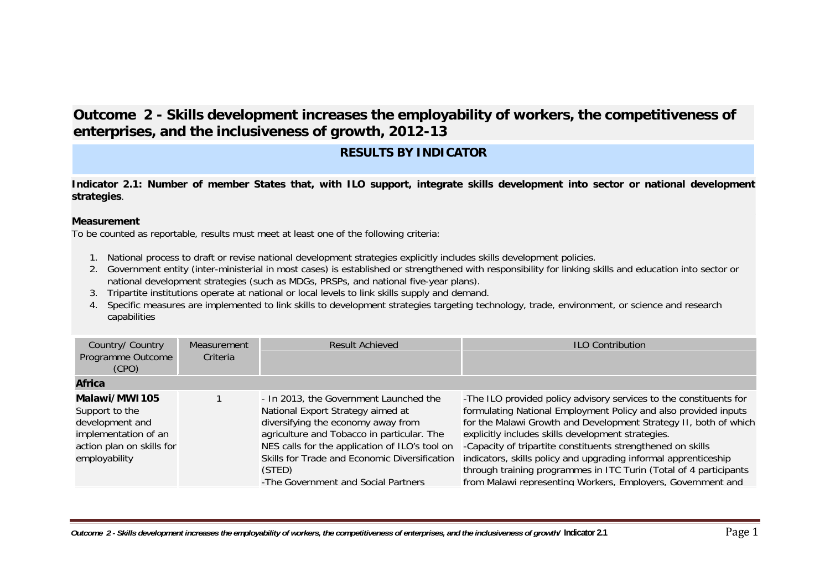# **Outcome 2 - Skills development increases the employability of workers, the competitiveness of enterprises, and the inclusiveness of growth, 2012-13**

## **RESULTS BY INDICATOR**

**Indicator 2.1: Number of member States that, with ILO support, integrate skills development into sector or national development strategies**.

#### **Measurement**

- 1. National process to draft or revise national development strategies explicitly includes skills development policies.
- 2. Government entity (inter-ministerial in most cases) is established or strengthened with responsibility for linking skills and education into sector or national development strategies (such as MDGs, PRSPs, and national five-year plans).
- 3. Tripartite institutions operate at national or local levels to link skills supply and demand.
- 4. Specific measures are implemented to link skills to development strategies targeting technology, trade, environment, or science and research capabilities

| Country/ Country<br>Programme Outcome<br>(CPO)                                                                           | Measurement<br>Criteria | Result Achieved                                                                                                                                                                                                                                                                                                     | <b>ILO Contribution</b>                                                                                                                                                                                                                                                                                                                                                                                                                                                                                                               |
|--------------------------------------------------------------------------------------------------------------------------|-------------------------|---------------------------------------------------------------------------------------------------------------------------------------------------------------------------------------------------------------------------------------------------------------------------------------------------------------------|---------------------------------------------------------------------------------------------------------------------------------------------------------------------------------------------------------------------------------------------------------------------------------------------------------------------------------------------------------------------------------------------------------------------------------------------------------------------------------------------------------------------------------------|
| <b>Africa</b>                                                                                                            |                         |                                                                                                                                                                                                                                                                                                                     |                                                                                                                                                                                                                                                                                                                                                                                                                                                                                                                                       |
| Malawi/MWI105<br>Support to the<br>development and<br>implementation of an<br>action plan on skills for<br>employability |                         | - In 2013, the Government Launched the<br>National Export Strategy aimed at<br>diversifying the economy away from<br>agriculture and Tobacco in particular. The<br>NES calls for the application of ILO's tool on<br>Skills for Trade and Economic Diversification<br>(STED)<br>-The Government and Social Partners | -The ILO provided policy advisory services to the constituents for<br>formulating National Employment Policy and also provided inputs<br>for the Malawi Growth and Development Strategy II, both of which<br>explicitly includes skills development strategies.<br>-Capacity of tripartite constituents strengthened on skills<br>indicators, skills policy and upgrading informal apprenticeship<br>through training programmes in ITC Turin (Total of 4 participants<br>from Malawi representing Workers, Employers, Government and |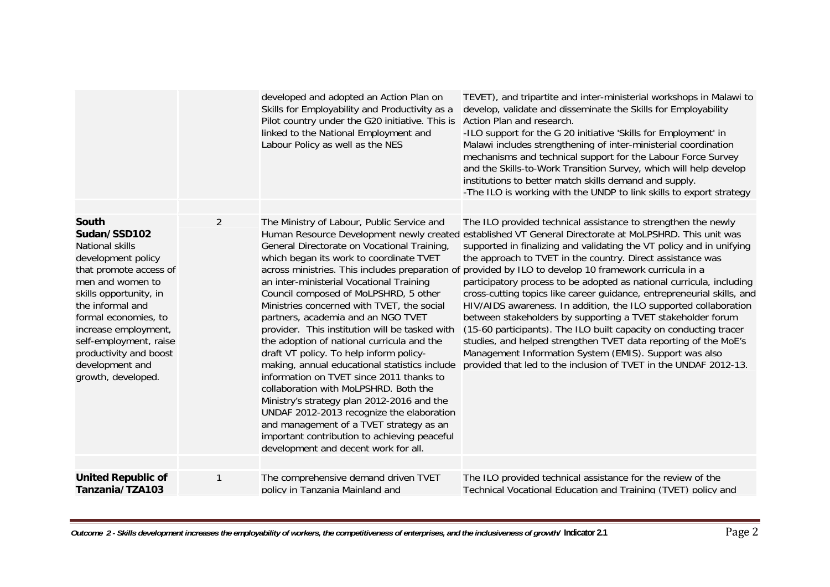|                                                                                                                                                                                                                                                                                                                |                | developed and adopted an Action Plan on<br>Skills for Employability and Productivity as a<br>Pilot country under the G20 initiative. This is<br>linked to the National Employment and<br>Labour Policy as well as the NES                                                                                                                                                                                                                                                                                                                                                                                                                                                                                                                                                                                                                                                                                                  | TEVET), and tripartite and inter-ministerial workshops in Malawi to<br>develop, validate and disseminate the Skills for Employability<br>Action Plan and research.<br>-ILO support for the G 20 initiative 'Skills for Employment' in<br>Malawi includes strengthening of inter-ministerial coordination<br>mechanisms and technical support for the Labour Force Survey<br>and the Skills-to-Work Transition Survey, which will help develop<br>institutions to better match skills demand and supply.<br>-The ILO is working with the UNDP to link skills to export strategy                                                                                                                                                                                                                                                                                                            |
|----------------------------------------------------------------------------------------------------------------------------------------------------------------------------------------------------------------------------------------------------------------------------------------------------------------|----------------|----------------------------------------------------------------------------------------------------------------------------------------------------------------------------------------------------------------------------------------------------------------------------------------------------------------------------------------------------------------------------------------------------------------------------------------------------------------------------------------------------------------------------------------------------------------------------------------------------------------------------------------------------------------------------------------------------------------------------------------------------------------------------------------------------------------------------------------------------------------------------------------------------------------------------|-------------------------------------------------------------------------------------------------------------------------------------------------------------------------------------------------------------------------------------------------------------------------------------------------------------------------------------------------------------------------------------------------------------------------------------------------------------------------------------------------------------------------------------------------------------------------------------------------------------------------------------------------------------------------------------------------------------------------------------------------------------------------------------------------------------------------------------------------------------------------------------------|
| <b>South</b><br>Sudan/SSD102<br>National skills<br>development policy<br>that promote access of<br>men and women to<br>skills opportunity, in<br>the informal and<br>formal economies, to<br>increase employment,<br>self-employment, raise<br>productivity and boost<br>development and<br>growth, developed. | $\overline{2}$ | The Ministry of Labour, Public Service and<br>Human Resource Development newly created<br>General Directorate on Vocational Training<br>which began its work to coordinate TVET<br>across ministries. This includes preparation of<br>an inter-ministerial Vocational Training<br>Council composed of MoLPSHRD, 5 other<br>Ministries concerned with TVET, the social<br>partners, academia and an NGO TVET<br>provider. This institution will be tasked with<br>the adoption of national curricula and the<br>draft VT policy. To help inform policy-<br>making, annual educational statistics include<br>information on TVET since 2011 thanks to<br>collaboration with MoLPSHRD. Both the<br>Ministry's strategy plan 2012-2016 and the<br>UNDAF 2012-2013 recognize the elaboration<br>and management of a TVET strategy as an<br>important contribution to achieving peaceful<br>development and decent work for all. | The ILO provided technical assistance to strengthen the newly<br>established VT General Directorate at MoLPSHRD. This unit was<br>supported in finalizing and validating the VT policy and in unifying<br>the approach to TVET in the country. Direct assistance was<br>provided by ILO to develop 10 framework curricula in a<br>participatory process to be adopted as national curricula, including<br>cross-cutting topics like career guidance, entrepreneurial skills, and<br>HIV/AIDS awareness. In addition, the ILO supported collaboration<br>between stakeholders by supporting a TVET stakeholder forum<br>(15-60 participants). The ILO built capacity on conducting tracer<br>studies, and helped strengthen TVET data reporting of the MoE's<br>Management Information System (EMIS). Support was also<br>provided that led to the inclusion of TVET in the UNDAF 2012-13. |
| <b>United Republic of</b><br>Tanzania/TZA103                                                                                                                                                                                                                                                                   | 1              | The comprehensive demand driven TVET<br>policy in Tanzania Mainland and                                                                                                                                                                                                                                                                                                                                                                                                                                                                                                                                                                                                                                                                                                                                                                                                                                                    | The ILO provided technical assistance for the review of the<br>Technical Vocational Education and Training (TVET) policy and                                                                                                                                                                                                                                                                                                                                                                                                                                                                                                                                                                                                                                                                                                                                                              |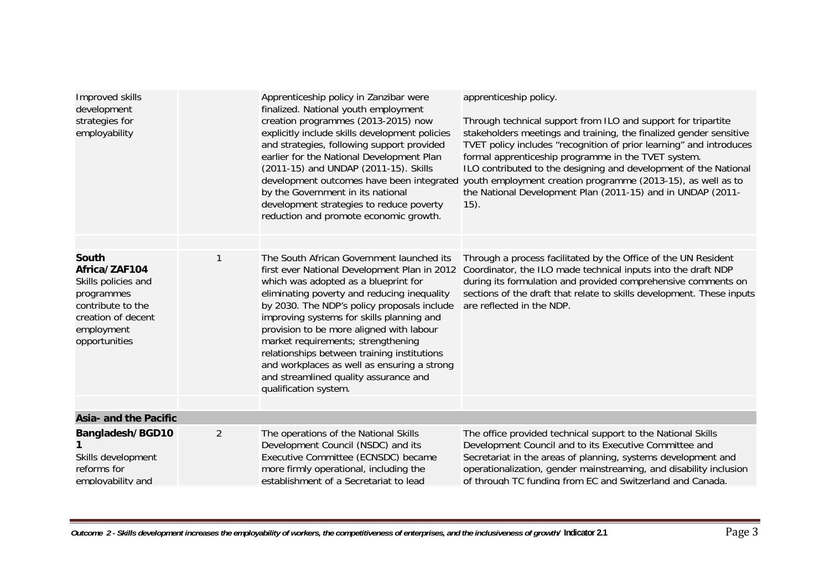| Improved skills<br>development<br>strategies for<br>employability                                                                     |                | Apprenticeship policy in Zanzibar were<br>finalized. National youth employment<br>creation programmes (2013-2015) now<br>explicitly include skills development policies<br>and strategies, following support provided<br>earlier for the National Development Plan<br>(2011-15) and UNDAP (2011-15). Skills<br>development outcomes have been integrated<br>by the Government in its national<br>development strategies to reduce poverty<br>reduction and promote economic growth.                                            | apprenticeship policy.<br>Through technical support from ILO and support for tripartite<br>stakeholders meetings and training, the finalized gender sensitive<br>TVET policy includes "recognition of prior learning" and introduces<br>formal apprenticeship programme in the TVET system.<br>ILO contributed to the designing and development of the National<br>youth employment creation programme (2013-15), as well as to<br>the National Development Plan (2011-15) and in UNDAP (2011-<br>$(15)$ . |
|---------------------------------------------------------------------------------------------------------------------------------------|----------------|--------------------------------------------------------------------------------------------------------------------------------------------------------------------------------------------------------------------------------------------------------------------------------------------------------------------------------------------------------------------------------------------------------------------------------------------------------------------------------------------------------------------------------|------------------------------------------------------------------------------------------------------------------------------------------------------------------------------------------------------------------------------------------------------------------------------------------------------------------------------------------------------------------------------------------------------------------------------------------------------------------------------------------------------------|
| South<br>Africa/ZAF104<br>Skills policies and<br>programmes<br>contribute to the<br>creation of decent<br>employment<br>opportunities |                | The South African Government launched its<br>first ever National Development Plan in 2012<br>which was adopted as a blueprint for<br>eliminating poverty and reducing inequality<br>by 2030. The NDP's policy proposals include<br>improving systems for skills planning and<br>provision to be more aligned with labour<br>market requirements; strengthening<br>relationships between training institutions<br>and workplaces as well as ensuring a strong<br>and streamlined quality assurance and<br>qualification system. | Through a process facilitated by the Office of the UN Resident<br>Coordinator, the ILO made technical inputs into the draft NDP<br>during its formulation and provided comprehensive comments on<br>sections of the draft that relate to skills development. These inputs<br>are reflected in the NDP.                                                                                                                                                                                                     |
| Asia- and the Pacific                                                                                                                 |                |                                                                                                                                                                                                                                                                                                                                                                                                                                                                                                                                |                                                                                                                                                                                                                                                                                                                                                                                                                                                                                                            |
| Bangladesh/BGD10<br>Skills development<br>reforms for<br>employability and                                                            | $\overline{2}$ | The operations of the National Skills<br>Development Council (NSDC) and its<br>Executive Committee (ECNSDC) became<br>more firmly operational, including the<br>establishment of a Secretariat to lead                                                                                                                                                                                                                                                                                                                         | The office provided technical support to the National Skills<br>Development Council and to its Executive Committee and<br>Secretariat in the areas of planning, systems development and<br>operationalization, gender mainstreaming, and disability inclusion<br>of through TC funding from EC and Switzerland and Canada.                                                                                                                                                                                 |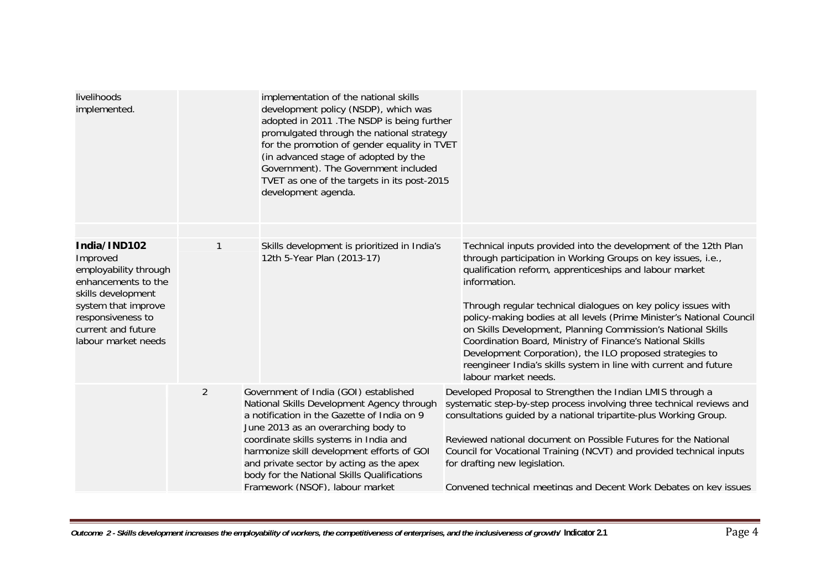| livelihoods<br>implemented.                                                                                                                                                             |   | implementation of the national skills<br>development policy (NSDP), which was<br>adopted in 2011 . The NSDP is being further<br>promulgated through the national strategy<br>for the promotion of gender equality in TVET<br>(in advanced stage of adopted by the<br>Government). The Government included<br>TVET as one of the targets in its post-2015<br>development agenda.                 |                                                                                                                                                                                                                                                                                                                                                                                                                                                                                                                                                                                                                                           |
|-----------------------------------------------------------------------------------------------------------------------------------------------------------------------------------------|---|-------------------------------------------------------------------------------------------------------------------------------------------------------------------------------------------------------------------------------------------------------------------------------------------------------------------------------------------------------------------------------------------------|-------------------------------------------------------------------------------------------------------------------------------------------------------------------------------------------------------------------------------------------------------------------------------------------------------------------------------------------------------------------------------------------------------------------------------------------------------------------------------------------------------------------------------------------------------------------------------------------------------------------------------------------|
| India/IND102<br>Improved<br>employability through<br>enhancements to the<br>skills development<br>system that improve<br>responsiveness to<br>current and future<br>labour market needs | 1 | Skills development is prioritized in India's<br>12th 5-Year Plan (2013-17)                                                                                                                                                                                                                                                                                                                      | Technical inputs provided into the development of the 12th Plan<br>through participation in Working Groups on key issues, i.e.,<br>qualification reform, apprenticeships and labour market<br>information.<br>Through regular technical dialogues on key policy issues with<br>policy-making bodies at all levels (Prime Minister's National Council<br>on Skills Development, Planning Commission's National Skills<br>Coordination Board, Ministry of Finance's National Skills<br>Development Corporation), the ILO proposed strategies to<br>reengineer India's skills system in line with current and future<br>labour market needs. |
|                                                                                                                                                                                         | 2 | Government of India (GOI) established<br>National Skills Development Agency through<br>a notification in the Gazette of India on 9<br>June 2013 as an overarching body to<br>coordinate skills systems in India and<br>harmonize skill development efforts of GOI<br>and private sector by acting as the apex<br>body for the National Skills Qualifications<br>Framework (NSQF), labour market | Developed Proposal to Strengthen the Indian LMIS through a<br>systematic step-by-step process involving three technical reviews and<br>consultations quided by a national tripartite-plus Working Group.<br>Reviewed national document on Possible Futures for the National<br>Council for Vocational Training (NCVT) and provided technical inputs<br>for drafting new legislation.<br>Convened technical meetings and Decent Work Debates on key issues                                                                                                                                                                                 |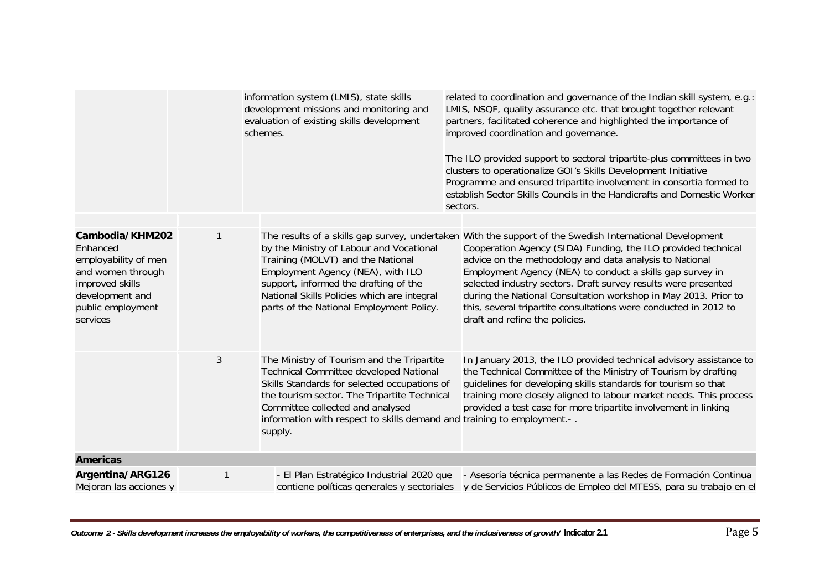|                                                                                                                                                 |   | information system (LMIS), state skills<br>development missions and monitoring and<br>evaluation of existing skills development<br>schemes.                                                                                                                                                                    | related to coordination and governance of the Indian skill system, e.g.:<br>LMIS, NSQF, quality assurance etc. that brought together relevant<br>partners, facilitated coherence and highlighted the importance of<br>improved coordination and governance.<br>The ILO provided support to sectoral tripartite-plus committees in two<br>clusters to operationalize GOI's Skills Development Initiative<br>Programme and ensured tripartite involvement in consortia formed to<br>establish Sector Skills Councils in the Handicrafts and Domestic Worker<br>sectors. |
|-------------------------------------------------------------------------------------------------------------------------------------------------|---|----------------------------------------------------------------------------------------------------------------------------------------------------------------------------------------------------------------------------------------------------------------------------------------------------------------|-----------------------------------------------------------------------------------------------------------------------------------------------------------------------------------------------------------------------------------------------------------------------------------------------------------------------------------------------------------------------------------------------------------------------------------------------------------------------------------------------------------------------------------------------------------------------|
|                                                                                                                                                 |   |                                                                                                                                                                                                                                                                                                                |                                                                                                                                                                                                                                                                                                                                                                                                                                                                                                                                                                       |
| Cambodia/KHM202<br>Enhanced<br>employability of men<br>and women through<br>improved skills<br>development and<br>public employment<br>services |   | by the Ministry of Labour and Vocational<br>Training (MOLVT) and the National<br>Employment Agency (NEA), with ILO<br>support, informed the drafting of the<br>National Skills Policies which are integral<br>parts of the National Employment Policy.                                                         | The results of a skills gap survey, undertaken With the support of the Swedish International Development<br>Cooperation Agency (SIDA) Funding, the ILO provided technical<br>advice on the methodology and data analysis to National<br>Employment Agency (NEA) to conduct a skills gap survey in<br>selected industry sectors. Draft survey results were presented<br>during the National Consultation workshop in May 2013. Prior to<br>this, several tripartite consultations were conducted in 2012 to<br>draft and refine the policies.                          |
|                                                                                                                                                 | 3 | The Ministry of Tourism and the Tripartite<br>Technical Committee developed National<br>Skills Standards for selected occupations of<br>the tourism sector. The Tripartite Technical<br>Committee collected and analysed<br>information with respect to skills demand and training to employment.-.<br>supply. | In January 2013, the ILO provided technical advisory assistance to<br>the Technical Committee of the Ministry of Tourism by drafting<br>guidelines for developing skills standards for tourism so that<br>training more closely aligned to labour market needs. This process<br>provided a test case for more tripartite involvement in linking                                                                                                                                                                                                                       |
| <b>Americas</b>                                                                                                                                 |   |                                                                                                                                                                                                                                                                                                                |                                                                                                                                                                                                                                                                                                                                                                                                                                                                                                                                                                       |
| Argentina/ARG126<br>Mejoran las acciones y                                                                                                      | 1 | - El Plan Estratégico Industrial 2020 que<br>contiene políticas generales y sectoriales                                                                                                                                                                                                                        | - Asesoría técnica permanente a las Redes de Formación Continua<br>v de Servicios Públicos de Empleo del MTESS, para su trabaio en el                                                                                                                                                                                                                                                                                                                                                                                                                                 |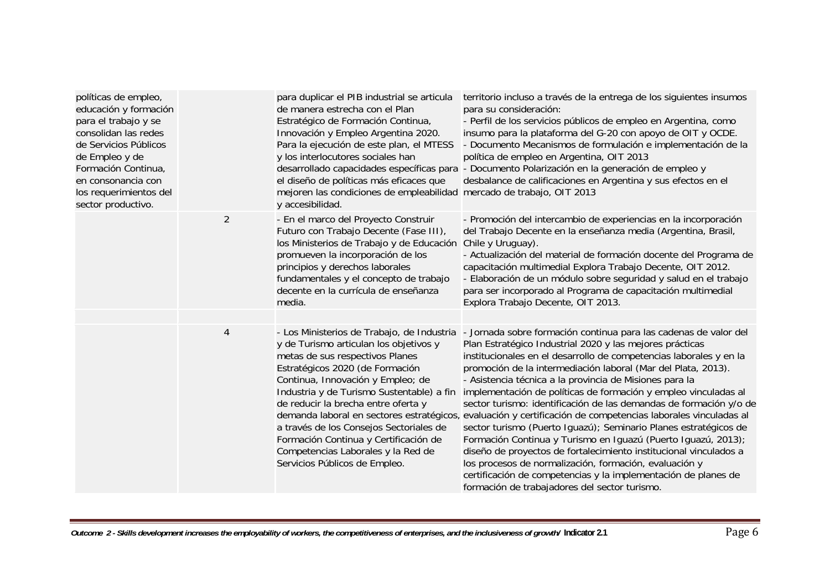| políticas de empleo,<br>educación y formación<br>para el trabajo y se<br>consolidan las redes<br>de Servicios Públicos<br>de Empleo y de<br>Formación Continua,<br>en consonancia con<br>los requerimientos del<br>sector productivo. |                | para duplicar el PIB industrial se articula<br>de manera estrecha con el Plan<br>Estratégico de Formación Continua,<br>Innovación y Empleo Argentina 2020.<br>Para la ejecución de este plan, el MTESS<br>y los interlocutores sociales han<br>el diseño de políticas más eficaces que<br>mejoren las condiciones de empleabilidad mercado de trabajo, OIT 2013<br>y accesibilidad.                                                            | territorio incluso a través de la entrega de los siguientes insumos<br>para su consideración:<br>- Perfil de los servicios públicos de empleo en Argentina, como<br>insumo para la plataforma del G-20 con apoyo de OIT y OCDE.<br>- Documento Mecanismos de formulación e implementación de la<br>política de empleo en Argentina, OIT 2013<br>desarrollado capacidades específicas para - Documento Polarización en la generación de empleo y<br>desbalance de calificaciones en Argentina y sus efectos en el                                                                                                                                                                                                                                                                                                                                                                                                                                                               |
|---------------------------------------------------------------------------------------------------------------------------------------------------------------------------------------------------------------------------------------|----------------|------------------------------------------------------------------------------------------------------------------------------------------------------------------------------------------------------------------------------------------------------------------------------------------------------------------------------------------------------------------------------------------------------------------------------------------------|--------------------------------------------------------------------------------------------------------------------------------------------------------------------------------------------------------------------------------------------------------------------------------------------------------------------------------------------------------------------------------------------------------------------------------------------------------------------------------------------------------------------------------------------------------------------------------------------------------------------------------------------------------------------------------------------------------------------------------------------------------------------------------------------------------------------------------------------------------------------------------------------------------------------------------------------------------------------------------|
|                                                                                                                                                                                                                                       | $\overline{2}$ | - En el marco del Proyecto Construir<br>Futuro con Trabajo Decente (Fase III),<br>los Ministerios de Trabajo y de Educación<br>promueven la incorporación de los<br>principios y derechos laborales<br>fundamentales y el concepto de trabajo<br>decente en la currícula de enseñanza<br>media.                                                                                                                                                | - Promoción del intercambio de experiencias en la incorporación<br>del Trabajo Decente en la enseñanza media (Argentina, Brasil,<br>Chile y Uruguay).<br>- Actualización del material de formación docente del Programa de<br>capacitación multimedial Explora Trabajo Decente, OIT 2012.<br>- Elaboración de un módulo sobre seguridad y salud en el trabajo<br>para ser incorporado al Programa de capacitación multimedial<br>Explora Trabajo Decente, OIT 2013.                                                                                                                                                                                                                                                                                                                                                                                                                                                                                                            |
|                                                                                                                                                                                                                                       | $\overline{4}$ | - Los Ministerios de Trabajo, de Industria<br>y de Turismo articulan los objetivos y<br>metas de sus respectivos Planes<br>Estratégicos 2020 (de Formación<br>Continua, Innovación y Empleo; de<br>Industria y de Turismo Sustentable) a fin<br>de reducir la brecha entre oferta y<br>a través de los Consejos Sectoriales de<br>Formación Continua y Certificación de<br>Competencias Laborales y la Red de<br>Servicios Públicos de Empleo. | - Jornada sobre formación continua para las cadenas de valor del<br>Plan Estratégico Industrial 2020 y las mejores prácticas<br>institucionales en el desarrollo de competencias laborales y en la<br>promoción de la intermediación laboral (Mar del Plata, 2013).<br>- Asistencia técnica a la provincia de Misiones para la<br>implementación de políticas de formación y empleo vinculadas al<br>sector turismo: identificación de las demandas de formación y/o de<br>demanda laboral en sectores estratégicos, evaluación y certificación de competencias laborales vinculadas al<br>sector turismo (Puerto Iguazú); Seminario Planes estratégicos de<br>Formación Continua y Turismo en Iguazú (Puerto Iguazú, 2013);<br>diseño de proyectos de fortalecimiento institucional vinculados a<br>los procesos de normalización, formación, evaluación y<br>certificación de competencias y la implementación de planes de<br>formación de trabajadores del sector turismo. |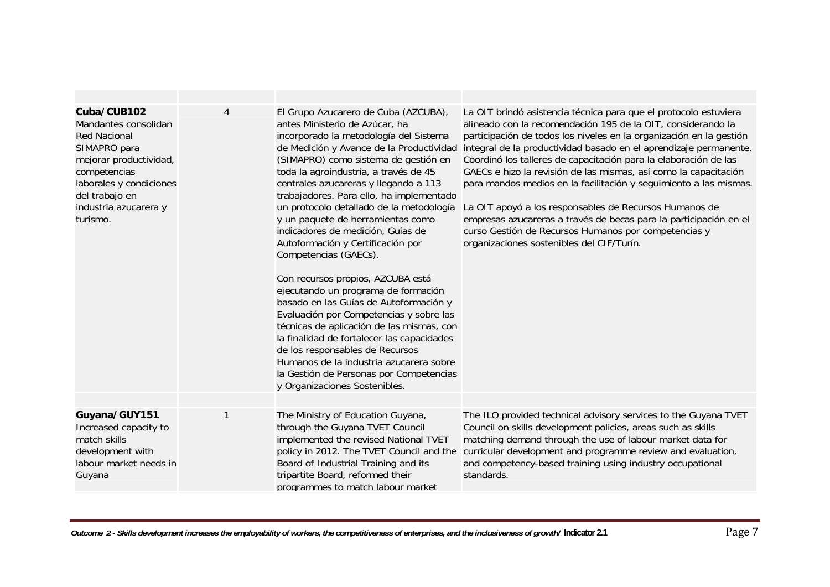| Cuba/CUB102<br>Mandantes consolidan<br><b>Red Nacional</b><br>SIMAPRO para<br>mejorar productividad,<br>competencias<br>laborales y condiciones<br>del trabajo en<br>industria azucarera y<br>turismo. | 4 | El Grupo Azucarero de Cuba (AZCUBA),<br>antes Ministerio de Azúcar, ha<br>incorporado la metodología del Sistema<br>de Medición y Avance de la Productividad<br>(SIMAPRO) como sistema de gestión en<br>toda la agroindustria, a través de 45<br>centrales azucareras y llegando a 113<br>trabajadores. Para ello, ha implementado<br>un protocolo detallado de la metodología<br>y un paquete de herramientas como<br>indicadores de medición, Guías de<br>Autoformación y Certificación por<br>Competencias (GAECs).<br>Con recursos propios, AZCUBA está<br>ejecutando un programa de formación<br>basado en las Guías de Autoformación y<br>Evaluación por Competencias y sobre las<br>técnicas de aplicación de las mismas, con<br>la finalidad de fortalecer las capacidades<br>de los responsables de Recursos<br>Humanos de la industria azucarera sobre<br>la Gestión de Personas por Competencias<br>y Organizaciones Sostenibles. | La OIT brindó asistencia técnica para que el protocolo estuviera<br>alineado con la recomendación 195 de la OIT, considerando la<br>participación de todos los niveles en la organización en la gestión<br>integral de la productividad basado en el aprendizaje permanente.<br>Coordinó los talleres de capacitación para la elaboración de las<br>GAECs e hizo la revisión de las mismas, así como la capacitación<br>para mandos medios en la facilitación y seguimiento a las mismas.<br>La OIT apoyó a los responsables de Recursos Humanos de<br>empresas azucareras a través de becas para la participación en el<br>curso Gestión de Recursos Humanos por competencias y<br>organizaciones sostenibles del CIF/Turín. |
|--------------------------------------------------------------------------------------------------------------------------------------------------------------------------------------------------------|---|----------------------------------------------------------------------------------------------------------------------------------------------------------------------------------------------------------------------------------------------------------------------------------------------------------------------------------------------------------------------------------------------------------------------------------------------------------------------------------------------------------------------------------------------------------------------------------------------------------------------------------------------------------------------------------------------------------------------------------------------------------------------------------------------------------------------------------------------------------------------------------------------------------------------------------------------|-------------------------------------------------------------------------------------------------------------------------------------------------------------------------------------------------------------------------------------------------------------------------------------------------------------------------------------------------------------------------------------------------------------------------------------------------------------------------------------------------------------------------------------------------------------------------------------------------------------------------------------------------------------------------------------------------------------------------------|
| Guyana/GUY151<br>Increased capacity to<br>match skills<br>development with<br>labour market needs in<br>Guyana                                                                                         |   | The Ministry of Education Guyana,<br>through the Guyana TVET Council<br>implemented the revised National TVET<br>policy in 2012. The TVET Council and the<br>Board of Industrial Training and its<br>tripartite Board, reformed their<br>programmes to match labour market                                                                                                                                                                                                                                                                                                                                                                                                                                                                                                                                                                                                                                                                   | The ILO provided technical advisory services to the Guyana TVET<br>Council on skills development policies, areas such as skills<br>matching demand through the use of labour market data for<br>curricular development and programme review and evaluation,<br>and competency-based training using industry occupational<br>standards.                                                                                                                                                                                                                                                                                                                                                                                        |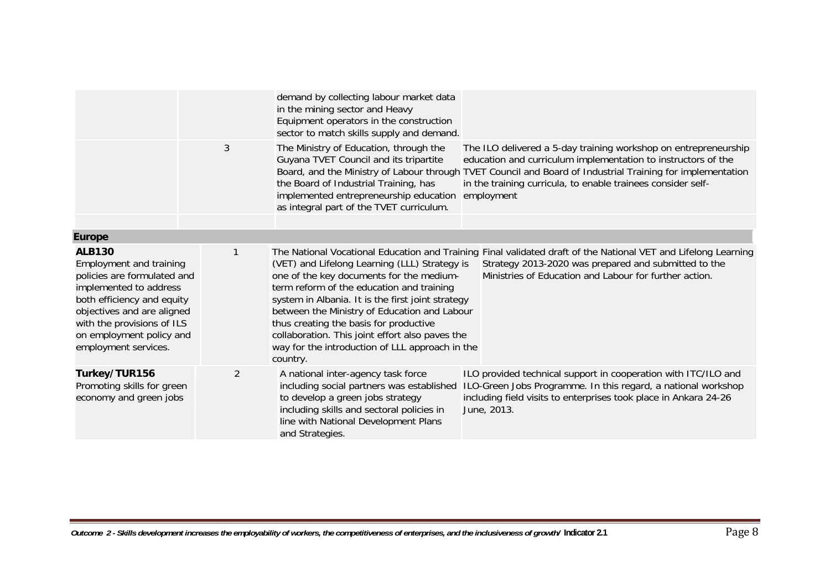|                                                                                                                                                                                                                                                 |   | demand by collecting labour market data<br>in the mining sector and Heavy<br>Equipment operators in the construction<br>sector to match skills supply and demand.                                                                                                                                                                                                                                       |                                                                                                                                                                                                                                                                                                                              |
|-------------------------------------------------------------------------------------------------------------------------------------------------------------------------------------------------------------------------------------------------|---|---------------------------------------------------------------------------------------------------------------------------------------------------------------------------------------------------------------------------------------------------------------------------------------------------------------------------------------------------------------------------------------------------------|------------------------------------------------------------------------------------------------------------------------------------------------------------------------------------------------------------------------------------------------------------------------------------------------------------------------------|
|                                                                                                                                                                                                                                                 | 3 | The Ministry of Education, through the<br>Guyana TVET Council and its tripartite<br>the Board of Industrial Training, has<br>implemented entrepreneurship education<br>as integral part of the TVET curriculum.                                                                                                                                                                                         | The ILO delivered a 5-day training workshop on entrepreneurship<br>education and curriculum implementation to instructors of the<br>Board, and the Ministry of Labour through TVET Council and Board of Industrial Training for implementation<br>in the training curricula, to enable trainees consider self-<br>employment |
| <b>Europe</b>                                                                                                                                                                                                                                   |   |                                                                                                                                                                                                                                                                                                                                                                                                         |                                                                                                                                                                                                                                                                                                                              |
| <b>ALB130</b><br>Employment and training<br>policies are formulated and<br>implemented to address<br>both efficiency and equity<br>objectives and are aligned<br>with the provisions of ILS<br>on employment policy and<br>employment services. |   | (VET) and Lifelong Learning (LLL) Strategy is<br>one of the key documents for the medium-<br>term reform of the education and training<br>system in Albania. It is the first joint strategy<br>between the Ministry of Education and Labour<br>thus creating the basis for productive<br>collaboration. This joint effort also paves the<br>way for the introduction of LLL approach in the<br>country. | The National Vocational Education and Training Final validated draft of the National VET and Lifelong Learning<br>Strategy 2013-2020 was prepared and submitted to the<br>Ministries of Education and Labour for further action.                                                                                             |
| Turkey/TUR156<br>Promoting skills for green<br>economy and green jobs                                                                                                                                                                           | 2 | A national inter-agency task force<br>including social partners was established<br>to develop a green jobs strategy<br>including skills and sectoral policies in<br>line with National Development Plans<br>and Strategies.                                                                                                                                                                             | ILO provided technical support in cooperation with ITC/ILO and<br>ILO-Green Jobs Programme. In this regard, a national workshop<br>including field visits to enterprises took place in Ankara 24-26<br>June, 2013.                                                                                                           |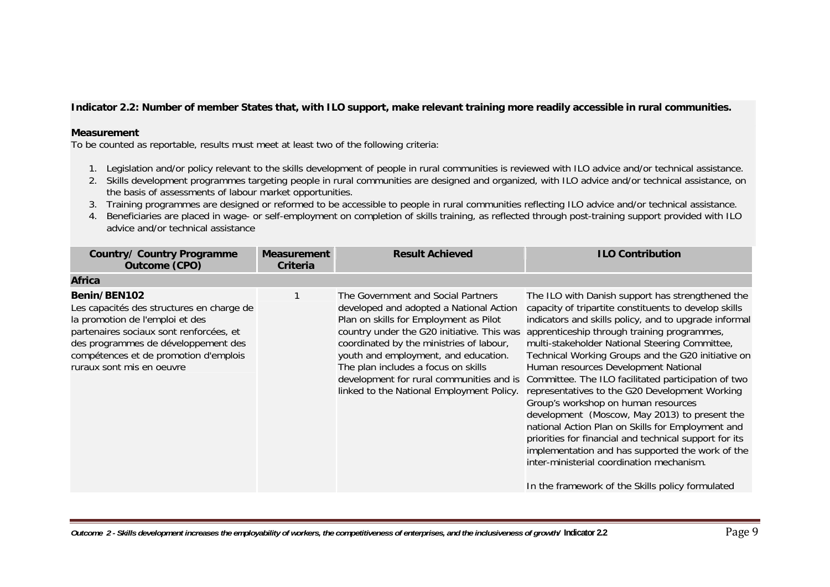### **Indicator 2.2: Number of member States that, with ILO support, make relevant training more readily accessible in rural communities.**

#### **Measurement**

- 1. Legislation and/or policy relevant to the skills development of people in rural communities is reviewed with ILO advice and/or technical assistance.
- 2. Skills development programmes targeting people in rural communities are designed and organized, with ILO advice and/or technical assistance, on the basis of assessments of labour market opportunities.
- 3. Training programmes are designed or reformed to be accessible to people in rural communities reflecting ILO advice and/or technical assistance.
- 4. Beneficiaries are placed in wage- or self-employment on completion of skills training, as reflected through post-training support provided with ILO advice and/or technical assistance

| <b>Country/ Country Programme</b><br>Outcome (CPO)                                                                                                                                                                                                   | <b>Measurement</b><br>Criteria | <b>Result Achieved</b>                                                                                                                                                                                                                                                                                                                                                                    | <b>ILO Contribution</b>                                                                                                                                                                                                                                                                                                                                                                                                                                                                                                                                                                                                                                                                                                                                                                                                                |
|------------------------------------------------------------------------------------------------------------------------------------------------------------------------------------------------------------------------------------------------------|--------------------------------|-------------------------------------------------------------------------------------------------------------------------------------------------------------------------------------------------------------------------------------------------------------------------------------------------------------------------------------------------------------------------------------------|----------------------------------------------------------------------------------------------------------------------------------------------------------------------------------------------------------------------------------------------------------------------------------------------------------------------------------------------------------------------------------------------------------------------------------------------------------------------------------------------------------------------------------------------------------------------------------------------------------------------------------------------------------------------------------------------------------------------------------------------------------------------------------------------------------------------------------------|
| <b>Africa</b>                                                                                                                                                                                                                                        |                                |                                                                                                                                                                                                                                                                                                                                                                                           |                                                                                                                                                                                                                                                                                                                                                                                                                                                                                                                                                                                                                                                                                                                                                                                                                                        |
| Benin/BEN102<br>Les capacités des structures en charge de<br>la promotion de l'emploi et des<br>partenaires sociaux sont renforcées, et<br>des programmes de développement des<br>compétences et de promotion d'emplois<br>ruraux sont mis en oeuvre |                                | The Government and Social Partners<br>developed and adopted a National Action<br>Plan on skills for Employment as Pilot<br>country under the G20 initiative. This was<br>coordinated by the ministries of labour,<br>youth and employment, and education.<br>The plan includes a focus on skills<br>development for rural communities and is<br>linked to the National Employment Policy. | The ILO with Danish support has strengthened the<br>capacity of tripartite constituents to develop skills<br>indicators and skills policy, and to upgrade informal<br>apprenticeship through training programmes,<br>multi-stakeholder National Steering Committee,<br>Technical Working Groups and the G20 initiative on<br>Human resources Development National<br>Committee. The ILO facilitated participation of two<br>representatives to the G20 Development Working<br>Group's workshop on human resources<br>development (Moscow, May 2013) to present the<br>national Action Plan on Skills for Employment and<br>priorities for financial and technical support for its<br>implementation and has supported the work of the<br>inter-ministerial coordination mechanism.<br>In the framework of the Skills policy formulated |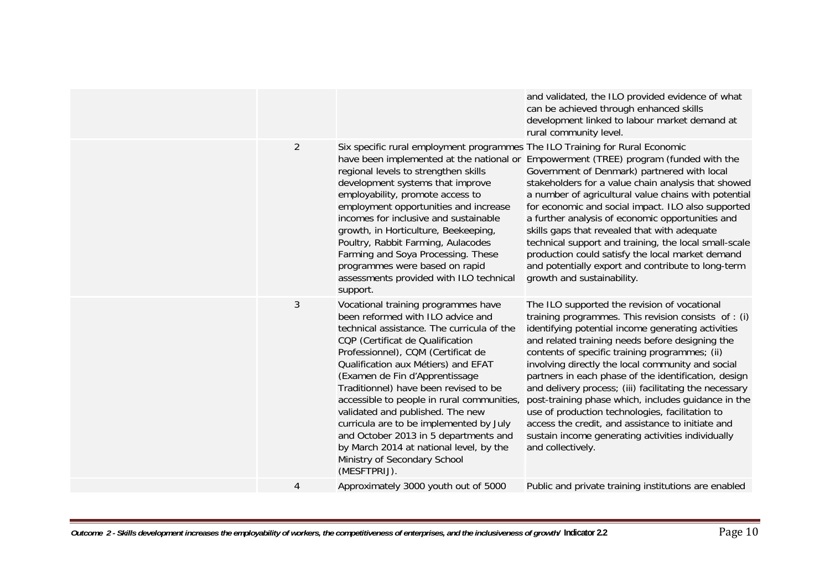| $\overline{2}$<br>Six specific rural employment programmes The ILO Training for Rural Economic<br>have been implemented at the national or Empowerment (TREE) program (funded with the<br>regional levels to strengthen skills<br>Government of Denmark) partnered with local<br>development systems that improve<br>stakeholders for a value chain analysis that showed<br>employability, promote access to<br>a number of agricultural value chains with potential<br>employment opportunities and increase<br>for economic and social impact. ILO also supported<br>incomes for inclusive and sustainable<br>a further analysis of economic opportunities and<br>growth, in Horticulture, Beekeeping,<br>skills gaps that revealed that with adequate<br>Poultry, Rabbit Farming, Aulacodes<br>technical support and training, the local small-scale<br>Farming and Soya Processing. These<br>production could satisfy the local market demand<br>programmes were based on rapid<br>and potentially export and contribute to long-term<br>assessments provided with ILO technical<br>growth and sustainability.<br>support.<br>3<br>Vocational training programmes have<br>The ILO supported the revision of vocational<br>been reformed with ILO advice and<br>training programmes. This revision consists of : (i)<br>technical assistance. The curricula of the<br>identifying potential income generating activities<br>CQP (Certificat de Qualification<br>and related training needs before designing the<br>Professionnel), CQM (Certificat de<br>contents of specific training programmes; (ii)<br>Qualification aux Métiers) and EFAT<br>involving directly the local community and social<br>(Examen de Fin d'Apprentissage<br>partners in each phase of the identification, design<br>Traditionnel) have been revised to be<br>and delivery process; (iii) facilitating the necessary<br>accessible to people in rural communities,<br>post-training phase which, includes guidance in the<br>validated and published. The new<br>use of production technologies, facilitation to<br>curricula are to be implemented by July<br>access the credit, and assistance to initiate and<br>and October 2013 in 5 departments and<br>sustain income generating activities individually<br>by March 2014 at national level, by the<br>and collectively.<br>Ministry of Secondary School<br>(MESFTPRIJ).<br>Approximately 3000 youth out of 5000<br>4<br>Public and private training institutions are enabled |  | and validated, the ILO provided evidence of what<br>can be achieved through enhanced skills<br>development linked to labour market demand at<br>rural community level. |
|--------------------------------------------------------------------------------------------------------------------------------------------------------------------------------------------------------------------------------------------------------------------------------------------------------------------------------------------------------------------------------------------------------------------------------------------------------------------------------------------------------------------------------------------------------------------------------------------------------------------------------------------------------------------------------------------------------------------------------------------------------------------------------------------------------------------------------------------------------------------------------------------------------------------------------------------------------------------------------------------------------------------------------------------------------------------------------------------------------------------------------------------------------------------------------------------------------------------------------------------------------------------------------------------------------------------------------------------------------------------------------------------------------------------------------------------------------------------------------------------------------------------------------------------------------------------------------------------------------------------------------------------------------------------------------------------------------------------------------------------------------------------------------------------------------------------------------------------------------------------------------------------------------------------------------------------------------------------------------------------------------------------------------------------------------------------------------------------------------------------------------------------------------------------------------------------------------------------------------------------------------------------------------------------------------------------------------------------------------------------------------------------------------------------------------------------------------------------------------------------------------------------|--|------------------------------------------------------------------------------------------------------------------------------------------------------------------------|
|                                                                                                                                                                                                                                                                                                                                                                                                                                                                                                                                                                                                                                                                                                                                                                                                                                                                                                                                                                                                                                                                                                                                                                                                                                                                                                                                                                                                                                                                                                                                                                                                                                                                                                                                                                                                                                                                                                                                                                                                                                                                                                                                                                                                                                                                                                                                                                                                                                                                                                                    |  |                                                                                                                                                                        |
|                                                                                                                                                                                                                                                                                                                                                                                                                                                                                                                                                                                                                                                                                                                                                                                                                                                                                                                                                                                                                                                                                                                                                                                                                                                                                                                                                                                                                                                                                                                                                                                                                                                                                                                                                                                                                                                                                                                                                                                                                                                                                                                                                                                                                                                                                                                                                                                                                                                                                                                    |  |                                                                                                                                                                        |
|                                                                                                                                                                                                                                                                                                                                                                                                                                                                                                                                                                                                                                                                                                                                                                                                                                                                                                                                                                                                                                                                                                                                                                                                                                                                                                                                                                                                                                                                                                                                                                                                                                                                                                                                                                                                                                                                                                                                                                                                                                                                                                                                                                                                                                                                                                                                                                                                                                                                                                                    |  |                                                                                                                                                                        |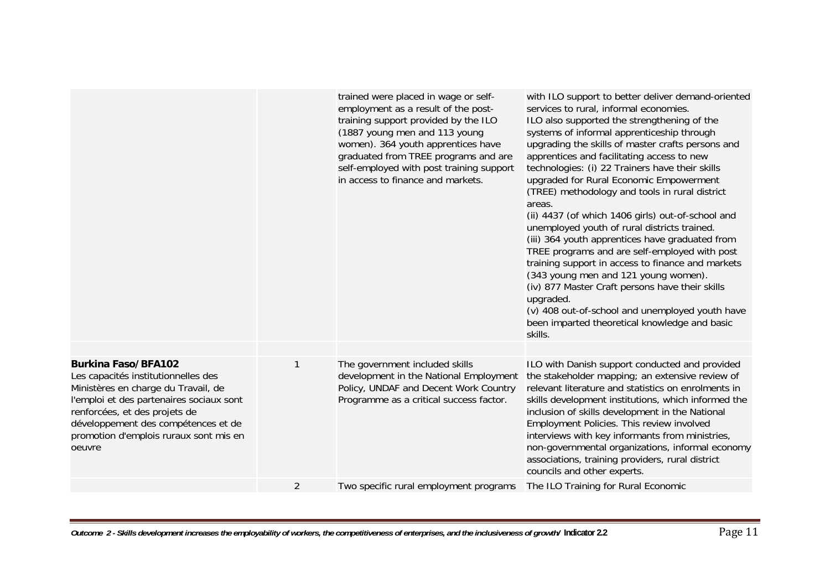|                                                                                                                                                                                                                                                                                  |   | trained were placed in wage or self-<br>employment as a result of the post-<br>training support provided by the ILO<br>(1887 young men and 113 young<br>women). 364 youth apprentices have<br>graduated from TREE programs and are<br>self-employed with post training support<br>in access to finance and markets. | with ILO support to better deliver demand-oriented<br>services to rural, informal economies.<br>ILO also supported the strengthening of the<br>systems of informal apprenticeship through<br>upgrading the skills of master crafts persons and<br>apprentices and facilitating access to new<br>technologies: (i) 22 Trainers have their skills<br>upgraded for Rural Economic Empowerment<br>(TREE) methodology and tools in rural district<br>areas.<br>(ii) 4437 (of which 1406 girls) out-of-school and<br>unemployed youth of rural districts trained.<br>(iii) 364 youth apprentices have graduated from<br>TREE programs and are self-employed with post<br>training support in access to finance and markets<br>(343 young men and 121 young women).<br>(iv) 877 Master Craft persons have their skills<br>upgraded.<br>(v) 408 out-of-school and unemployed youth have<br>been imparted theoretical knowledge and basic<br>skills. |
|----------------------------------------------------------------------------------------------------------------------------------------------------------------------------------------------------------------------------------------------------------------------------------|---|---------------------------------------------------------------------------------------------------------------------------------------------------------------------------------------------------------------------------------------------------------------------------------------------------------------------|---------------------------------------------------------------------------------------------------------------------------------------------------------------------------------------------------------------------------------------------------------------------------------------------------------------------------------------------------------------------------------------------------------------------------------------------------------------------------------------------------------------------------------------------------------------------------------------------------------------------------------------------------------------------------------------------------------------------------------------------------------------------------------------------------------------------------------------------------------------------------------------------------------------------------------------------|
| <b>Burkina Faso/BFA102</b><br>Les capacités institutionnelles des<br>Ministères en charge du Travail, de<br>l'emploi et des partenaires sociaux sont<br>renforcées, et des projets de<br>développement des compétences et de<br>promotion d'emplois ruraux sont mis en<br>oeuvre |   | The government included skills<br>development in the National Employment<br>Policy, UNDAF and Decent Work Country<br>Programme as a critical success factor.                                                                                                                                                        | ILO with Danish support conducted and provided<br>the stakeholder mapping; an extensive review of<br>relevant literature and statistics on enrolments in<br>skills development institutions, which informed the<br>inclusion of skills development in the National<br>Employment Policies. This review involved<br>interviews with key informants from ministries,<br>non-governmental organizations, informal economy<br>associations, training providers, rural district<br>councils and other experts.                                                                                                                                                                                                                                                                                                                                                                                                                                   |
|                                                                                                                                                                                                                                                                                  | 2 | Two specific rural employment programs                                                                                                                                                                                                                                                                              | The ILO Training for Rural Economic                                                                                                                                                                                                                                                                                                                                                                                                                                                                                                                                                                                                                                                                                                                                                                                                                                                                                                         |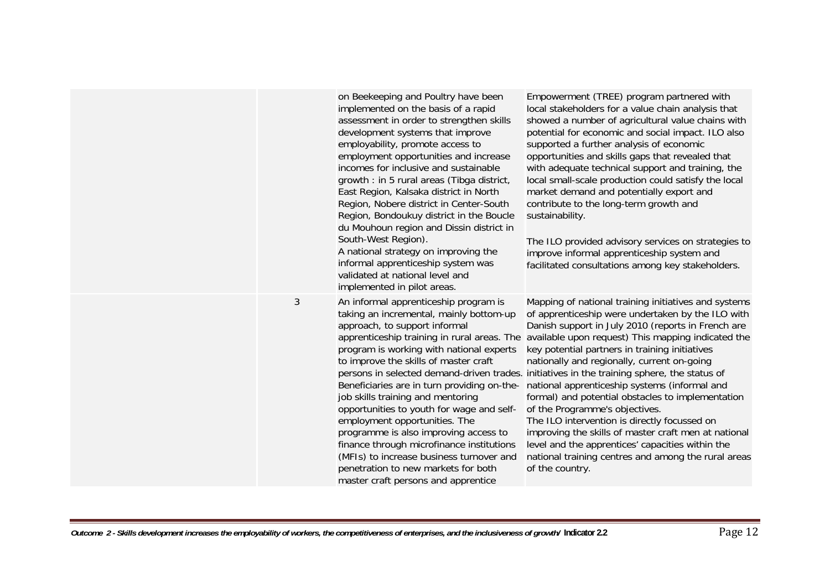|   | on Beekeeping and Poultry have been<br>implemented on the basis of a rapid<br>assessment in order to strengthen skills<br>development systems that improve<br>employability, promote access to<br>employment opportunities and increase<br>incomes for inclusive and sustainable<br>growth : in 5 rural areas (Tibga district,<br>East Region, Kalsaka district in North<br>Region, Nobere district in Center-South<br>Region, Bondoukuy district in the Boucle<br>du Mouhoun region and Dissin district in<br>South-West Region).<br>A national strategy on improving the<br>informal apprenticeship system was<br>validated at national level and<br>implemented in pilot areas. | Empowerment (TREE) program partnered with<br>local stakeholders for a value chain analysis that<br>showed a number of agricultural value chains with<br>potential for economic and social impact. ILO also<br>supported a further analysis of economic<br>opportunities and skills gaps that revealed that<br>with adequate technical support and training, the<br>local small-scale production could satisfy the local<br>market demand and potentially export and<br>contribute to the long-term growth and<br>sustainability.<br>The ILO provided advisory services on strategies to<br>improve informal apprenticeship system and<br>facilitated consultations among key stakeholders.                                                                                                                                                                                                  |
|---|------------------------------------------------------------------------------------------------------------------------------------------------------------------------------------------------------------------------------------------------------------------------------------------------------------------------------------------------------------------------------------------------------------------------------------------------------------------------------------------------------------------------------------------------------------------------------------------------------------------------------------------------------------------------------------|---------------------------------------------------------------------------------------------------------------------------------------------------------------------------------------------------------------------------------------------------------------------------------------------------------------------------------------------------------------------------------------------------------------------------------------------------------------------------------------------------------------------------------------------------------------------------------------------------------------------------------------------------------------------------------------------------------------------------------------------------------------------------------------------------------------------------------------------------------------------------------------------|
| 3 | An informal apprenticeship program is<br>taking an incremental, mainly bottom-up<br>approach, to support informal<br>program is working with national experts<br>to improve the skills of master craft<br>job skills training and mentoring<br>opportunities to youth for wage and self-<br>employment opportunities. The<br>programme is also improving access to<br>finance through microfinance institutions<br>(MFIs) to increase business turnover and<br>penetration to new markets for both<br>master craft persons and apprentice                                                                                                                                          | Mapping of national training initiatives and systems<br>of apprenticeship were undertaken by the ILO with<br>Danish support in July 2010 (reports in French are<br>apprenticeship training in rural areas. The available upon request) This mapping indicated the<br>key potential partners in training initiatives<br>nationally and regionally, current on-going<br>persons in selected demand-driven trades. initiatives in the training sphere, the status of<br>Beneficiaries are in turn providing on-the- national apprenticeship systems (informal and<br>formal) and potential obstacles to implementation<br>of the Programme's objectives.<br>The ILO intervention is directly focussed on<br>improving the skills of master craft men at national<br>level and the apprentices' capacities within the<br>national training centres and among the rural areas<br>of the country. |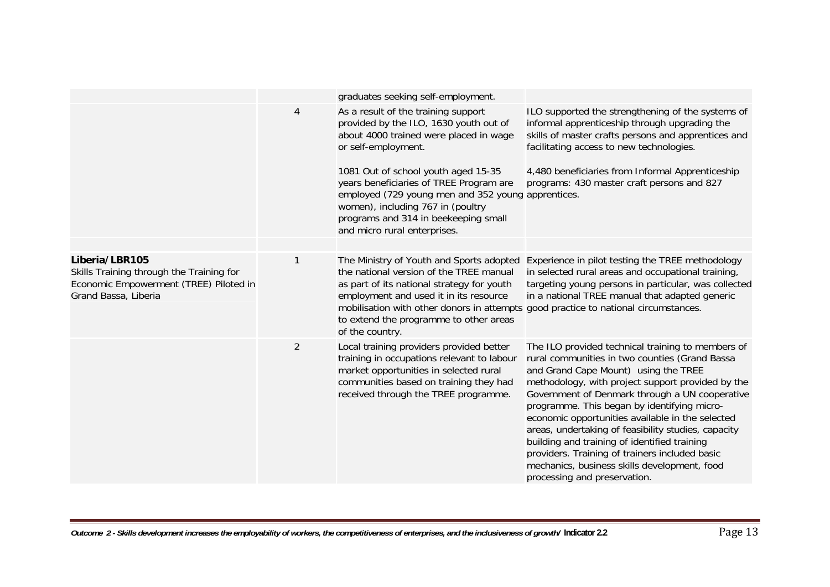|                                                                                                                              |                | graduates seeking self-employment.                                                                                                                                                                                                                                                                                                                                                                  |                                                                                                                                                                                                                                                                                                                                                                                                                                                                                                                                                                                                |
|------------------------------------------------------------------------------------------------------------------------------|----------------|-----------------------------------------------------------------------------------------------------------------------------------------------------------------------------------------------------------------------------------------------------------------------------------------------------------------------------------------------------------------------------------------------------|------------------------------------------------------------------------------------------------------------------------------------------------------------------------------------------------------------------------------------------------------------------------------------------------------------------------------------------------------------------------------------------------------------------------------------------------------------------------------------------------------------------------------------------------------------------------------------------------|
|                                                                                                                              | $\overline{4}$ | As a result of the training support<br>provided by the ILO, 1630 youth out of<br>about 4000 trained were placed in wage<br>or self-employment.<br>1081 Out of school youth aged 15-35<br>years beneficiaries of TREE Program are<br>employed (729 young men and 352 young apprentices.<br>women), including 767 in (poultry<br>programs and 314 in beekeeping small<br>and micro rural enterprises. | ILO supported the strengthening of the systems of<br>informal apprenticeship through upgrading the<br>skills of master crafts persons and apprentices and<br>facilitating access to new technologies.<br>4,480 beneficiaries from Informal Apprenticeship<br>programs: 430 master craft persons and 827                                                                                                                                                                                                                                                                                        |
|                                                                                                                              |                |                                                                                                                                                                                                                                                                                                                                                                                                     |                                                                                                                                                                                                                                                                                                                                                                                                                                                                                                                                                                                                |
| Liberia/LBR105<br>Skills Training through the Training for<br>Economic Empowerment (TREE) Piloted in<br>Grand Bassa, Liberia | 1              | The Ministry of Youth and Sports adopted<br>the national version of the TREE manual<br>as part of its national strategy for youth<br>employment and used it in its resource<br>mobilisation with other donors in attempts good practice to national circumstances.<br>to extend the programme to other areas<br>of the country.                                                                     | Experience in pilot testing the TREE methodology<br>in selected rural areas and occupational training,<br>targeting young persons in particular, was collected<br>in a national TREE manual that adapted generic                                                                                                                                                                                                                                                                                                                                                                               |
|                                                                                                                              | $\overline{2}$ | Local training providers provided better<br>training in occupations relevant to labour<br>market opportunities in selected rural<br>communities based on training they had<br>received through the TREE programme.                                                                                                                                                                                  | The ILO provided technical training to members of<br>rural communities in two counties (Grand Bassa<br>and Grand Cape Mount) using the TREE<br>methodology, with project support provided by the<br>Government of Denmark through a UN cooperative<br>programme. This began by identifying micro-<br>economic opportunities available in the selected<br>areas, undertaking of feasibility studies, capacity<br>building and training of identified training<br>providers. Training of trainers included basic<br>mechanics, business skills development, food<br>processing and preservation. |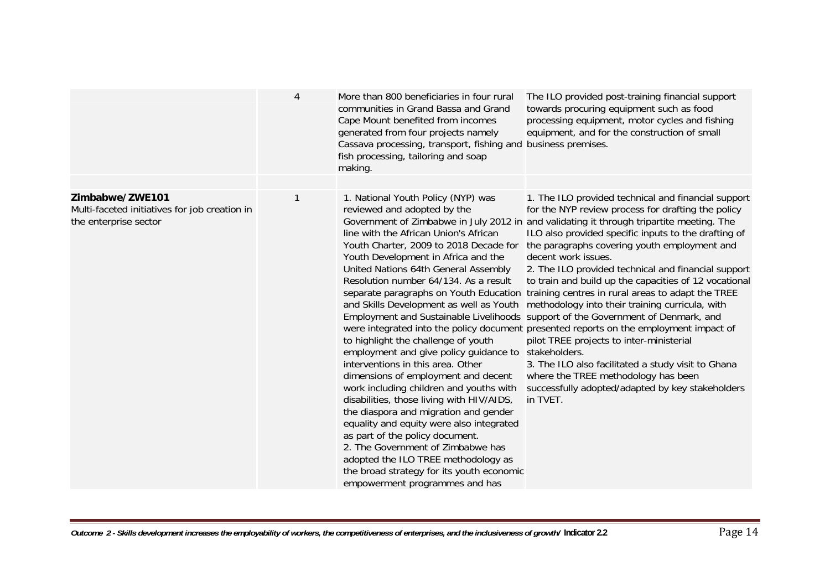|                                                                                           | 4 | More than 800 beneficiaries in four rural<br>communities in Grand Bassa and Grand<br>Cape Mount benefited from incomes<br>generated from four projects namely<br>Cassava processing, transport, fishing and business premises.<br>fish processing, tailoring and soap<br>making.                                                                                                                                                                                                                                                                                                                                                                                                                                                                                                                                                                                                                          | The ILO provided post-training financial support<br>towards procuring equipment such as food<br>processing equipment, motor cycles and fishing<br>equipment, and for the construction of small                                                                                                                                                                                                                                                                                                                                                                                                                                                                                                                                                                                                                                                                                                                                                                       |
|-------------------------------------------------------------------------------------------|---|-----------------------------------------------------------------------------------------------------------------------------------------------------------------------------------------------------------------------------------------------------------------------------------------------------------------------------------------------------------------------------------------------------------------------------------------------------------------------------------------------------------------------------------------------------------------------------------------------------------------------------------------------------------------------------------------------------------------------------------------------------------------------------------------------------------------------------------------------------------------------------------------------------------|----------------------------------------------------------------------------------------------------------------------------------------------------------------------------------------------------------------------------------------------------------------------------------------------------------------------------------------------------------------------------------------------------------------------------------------------------------------------------------------------------------------------------------------------------------------------------------------------------------------------------------------------------------------------------------------------------------------------------------------------------------------------------------------------------------------------------------------------------------------------------------------------------------------------------------------------------------------------|
|                                                                                           |   |                                                                                                                                                                                                                                                                                                                                                                                                                                                                                                                                                                                                                                                                                                                                                                                                                                                                                                           |                                                                                                                                                                                                                                                                                                                                                                                                                                                                                                                                                                                                                                                                                                                                                                                                                                                                                                                                                                      |
| Zimbabwe/ZWE101<br>Multi-faceted initiatives for job creation in<br>the enterprise sector |   | 1. National Youth Policy (NYP) was<br>reviewed and adopted by the<br>line with the African Union's African<br>Youth Charter, 2009 to 2018 Decade for<br>Youth Development in Africa and the<br>United Nations 64th General Assembly<br>Resolution number 64/134. As a result<br>separate paragraphs on Youth Education<br>and Skills Development as well as Youth<br>to highlight the challenge of youth<br>employment and give policy guidance to<br>interventions in this area. Other<br>dimensions of employment and decent<br>work including children and youths with<br>disabilities, those living with HIV/AIDS,<br>the diaspora and migration and gender<br>equality and equity were also integrated<br>as part of the policy document.<br>2. The Government of Zimbabwe has<br>adopted the ILO TREE methodology as<br>the broad strategy for its youth economic<br>empowerment programmes and has | 1. The ILO provided technical and financial support<br>for the NYP review process for drafting the policy<br>Government of Zimbabwe in July 2012 in and validating it through tripartite meeting. The<br>ILO also provided specific inputs to the drafting of<br>the paragraphs covering youth employment and<br>decent work issues.<br>2. The ILO provided technical and financial support<br>to train and build up the capacities of 12 vocational<br>training centres in rural areas to adapt the TREE<br>methodology into their training curricula, with<br>Employment and Sustainable Livelihoods support of the Government of Denmark, and<br>were integrated into the policy document presented reports on the employment impact of<br>pilot TREE projects to inter-ministerial<br>stakeholders.<br>3. The ILO also facilitated a study visit to Ghana<br>where the TREE methodology has been<br>successfully adopted/adapted by key stakeholders<br>in TVET. |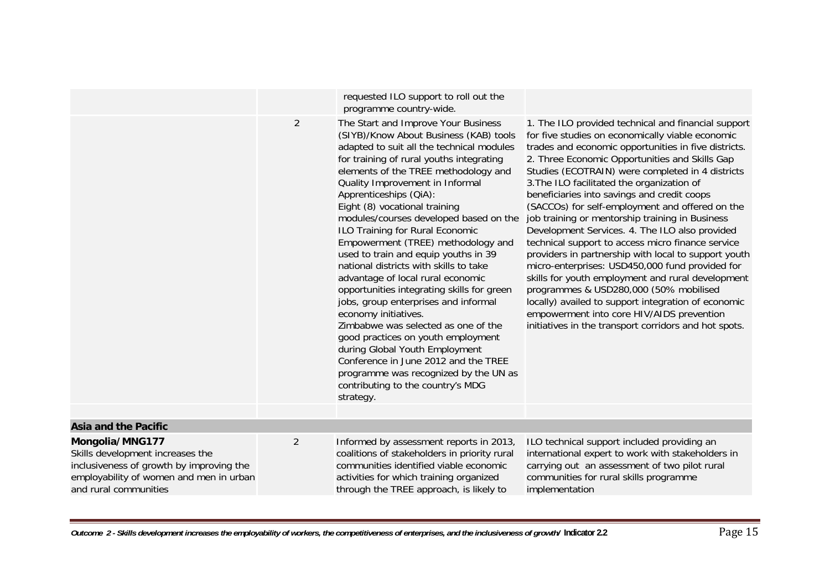|                                                                                                                                                                     |                | requested ILO support to roll out the<br>programme country-wide.                                                                                                                                                                                                                                                                                                                                                                                                                                                                                                                                                                                                                                                                                                                                                                                                                                                       |                                                                                                                                                                                                                                                                                                                                                                                                                                                                                                                                                                                                                                                                                                                                                                                                                                                                                                                                                        |
|---------------------------------------------------------------------------------------------------------------------------------------------------------------------|----------------|------------------------------------------------------------------------------------------------------------------------------------------------------------------------------------------------------------------------------------------------------------------------------------------------------------------------------------------------------------------------------------------------------------------------------------------------------------------------------------------------------------------------------------------------------------------------------------------------------------------------------------------------------------------------------------------------------------------------------------------------------------------------------------------------------------------------------------------------------------------------------------------------------------------------|--------------------------------------------------------------------------------------------------------------------------------------------------------------------------------------------------------------------------------------------------------------------------------------------------------------------------------------------------------------------------------------------------------------------------------------------------------------------------------------------------------------------------------------------------------------------------------------------------------------------------------------------------------------------------------------------------------------------------------------------------------------------------------------------------------------------------------------------------------------------------------------------------------------------------------------------------------|
|                                                                                                                                                                     | $\overline{2}$ | The Start and Improve Your Business<br>(SIYB)/Know About Business (KAB) tools<br>adapted to suit all the technical modules<br>for training of rural youths integrating<br>elements of the TREE methodology and<br>Quality Improvement in Informal<br>Apprenticeships (QiA):<br>Eight (8) vocational training<br>modules/courses developed based on the<br>ILO Training for Rural Economic<br>Empowerment (TREE) methodology and<br>used to train and equip youths in 39<br>national districts with skills to take<br>advantage of local rural economic<br>opportunities integrating skills for green<br>jobs, group enterprises and informal<br>economy initiatives.<br>Zimbabwe was selected as one of the<br>good practices on youth employment<br>during Global Youth Employment<br>Conference in June 2012 and the TREE<br>programme was recognized by the UN as<br>contributing to the country's MDG<br>strategy. | 1. The ILO provided technical and financial support<br>for five studies on economically viable economic<br>trades and economic opportunities in five districts.<br>2. Three Economic Opportunities and Skills Gap<br>Studies (ECOTRAIN) were completed in 4 districts<br>3. The ILO facilitated the organization of<br>beneficiaries into savings and credit coops<br>(SACCOs) for self-employment and offered on the<br>job training or mentorship training in Business<br>Development Services. 4. The ILO also provided<br>technical support to access micro finance service<br>providers in partnership with local to support youth<br>micro-enterprises: USD450,000 fund provided for<br>skills for youth employment and rural development<br>programmes & USD280,000 (50% mobilised<br>locally) availed to support integration of economic<br>empowerment into core HIV/AIDS prevention<br>initiatives in the transport corridors and hot spots. |
| <b>Asia and the Pacific</b>                                                                                                                                         |                |                                                                                                                                                                                                                                                                                                                                                                                                                                                                                                                                                                                                                                                                                                                                                                                                                                                                                                                        |                                                                                                                                                                                                                                                                                                                                                                                                                                                                                                                                                                                                                                                                                                                                                                                                                                                                                                                                                        |
| Mongolia/MNG177<br>Skills development increases the<br>inclusiveness of growth by improving the<br>employability of women and men in urban<br>and rural communities | $\overline{2}$ | Informed by assessment reports in 2013,<br>coalitions of stakeholders in priority rural<br>communities identified viable economic<br>activities for which training organized<br>through the TREE approach, is likely to                                                                                                                                                                                                                                                                                                                                                                                                                                                                                                                                                                                                                                                                                                | ILO technical support included providing an<br>international expert to work with stakeholders in<br>carrying out an assessment of two pilot rural<br>communities for rural skills programme<br>implementation                                                                                                                                                                                                                                                                                                                                                                                                                                                                                                                                                                                                                                                                                                                                          |
|                                                                                                                                                                     |                |                                                                                                                                                                                                                                                                                                                                                                                                                                                                                                                                                                                                                                                                                                                                                                                                                                                                                                                        |                                                                                                                                                                                                                                                                                                                                                                                                                                                                                                                                                                                                                                                                                                                                                                                                                                                                                                                                                        |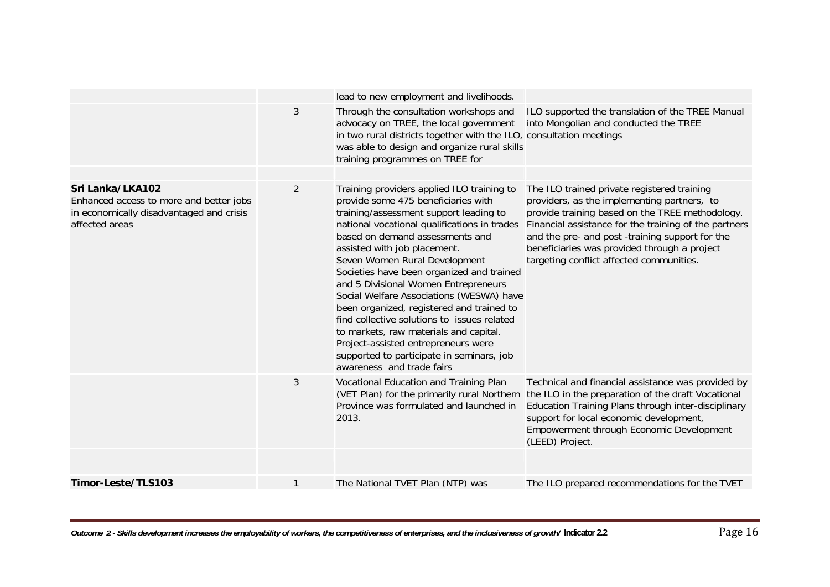|                                                                                                                           |                | lead to new employment and livelihoods.                                                                                                                                                                                                                                                                                                                                                                                                                                                                                                                                                                                                                                 |                                                                                                                                                                                                                                                                                                                                                      |
|---------------------------------------------------------------------------------------------------------------------------|----------------|-------------------------------------------------------------------------------------------------------------------------------------------------------------------------------------------------------------------------------------------------------------------------------------------------------------------------------------------------------------------------------------------------------------------------------------------------------------------------------------------------------------------------------------------------------------------------------------------------------------------------------------------------------------------------|------------------------------------------------------------------------------------------------------------------------------------------------------------------------------------------------------------------------------------------------------------------------------------------------------------------------------------------------------|
|                                                                                                                           | 3              | Through the consultation workshops and<br>advocacy on TREE, the local government<br>in two rural districts together with the ILO, consultation meetings<br>was able to design and organize rural skills<br>training programmes on TREE for                                                                                                                                                                                                                                                                                                                                                                                                                              | ILO supported the translation of the TREE Manual<br>into Mongolian and conducted the TREE                                                                                                                                                                                                                                                            |
|                                                                                                                           |                |                                                                                                                                                                                                                                                                                                                                                                                                                                                                                                                                                                                                                                                                         |                                                                                                                                                                                                                                                                                                                                                      |
| Sri Lanka/LKA102<br>Enhanced access to more and better jobs<br>in economically disadvantaged and crisis<br>affected areas | $\overline{2}$ | Training providers applied ILO training to<br>provide some 475 beneficiaries with<br>training/assessment support leading to<br>national vocational qualifications in trades<br>based on demand assessments and<br>assisted with job placement.<br>Seven Women Rural Development<br>Societies have been organized and trained<br>and 5 Divisional Women Entrepreneurs<br>Social Welfare Associations (WESWA) have<br>been organized, registered and trained to<br>find collective solutions to issues related<br>to markets, raw materials and capital.<br>Project-assisted entrepreneurs were<br>supported to participate in seminars, job<br>awareness and trade fairs | The ILO trained private registered training<br>providers, as the implementing partners, to<br>provide training based on the TREE methodology.<br>Financial assistance for the training of the partners<br>and the pre- and post-training support for the<br>beneficiaries was provided through a project<br>targeting conflict affected communities. |
|                                                                                                                           | 3              | Vocational Education and Training Plan<br>(VET Plan) for the primarily rural Northern<br>Province was formulated and launched in<br>2013.                                                                                                                                                                                                                                                                                                                                                                                                                                                                                                                               | Technical and financial assistance was provided by<br>the ILO in the preparation of the draft Vocational<br>Education Training Plans through inter-disciplinary<br>support for local economic development,<br>Empowerment through Economic Development<br>(LEED) Project.                                                                            |
|                                                                                                                           |                |                                                                                                                                                                                                                                                                                                                                                                                                                                                                                                                                                                                                                                                                         |                                                                                                                                                                                                                                                                                                                                                      |
| Timor-Leste/TLS103                                                                                                        |                | The National TVET Plan (NTP) was                                                                                                                                                                                                                                                                                                                                                                                                                                                                                                                                                                                                                                        | The ILO prepared recommendations for the TVET                                                                                                                                                                                                                                                                                                        |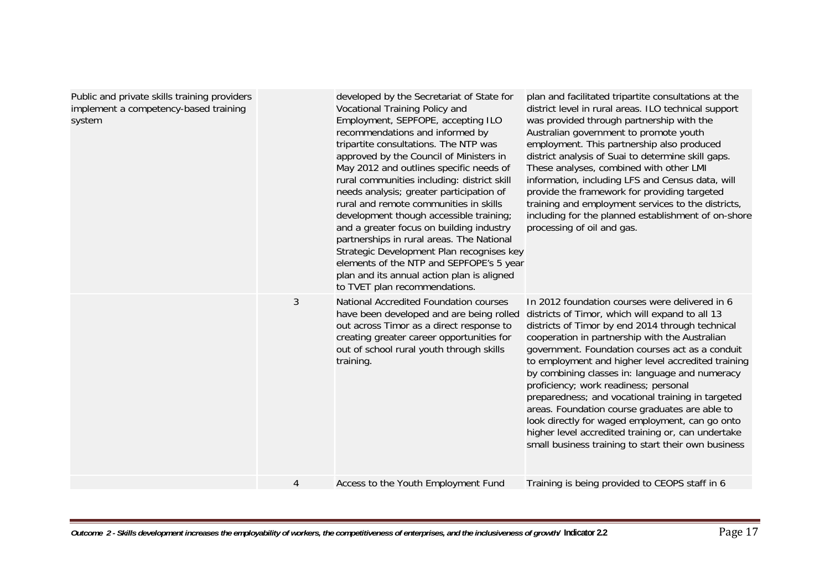| Public and private skills training providers<br>implement a competency-based training<br>system |              | developed by the Secretariat of State for<br>Vocational Training Policy and<br>Employment, SEPFOPE, accepting ILO<br>recommendations and informed by<br>tripartite consultations. The NTP was<br>approved by the Council of Ministers in<br>May 2012 and outlines specific needs of<br>rural communities including: district skill<br>needs analysis; greater participation of<br>rural and remote communities in skills<br>development though accessible training;<br>and a greater focus on building industry<br>partnerships in rural areas. The National<br>Strategic Development Plan recognises key<br>elements of the NTP and SEPFOPE's 5 year<br>plan and its annual action plan is aligned<br>to TVET plan recommendations. | plan and facilitated tripartite consultations at the<br>district level in rural areas. ILO technical support<br>was provided through partnership with the<br>Australian government to promote youth<br>employment. This partnership also produced<br>district analysis of Suai to determine skill gaps.<br>These analyses, combined with other LMI<br>information, including LFS and Census data, will<br>provide the framework for providing targeted<br>training and employment services to the districts,<br>including for the planned establishment of on-shore<br>processing of oil and gas.                                                                                  |
|-------------------------------------------------------------------------------------------------|--------------|--------------------------------------------------------------------------------------------------------------------------------------------------------------------------------------------------------------------------------------------------------------------------------------------------------------------------------------------------------------------------------------------------------------------------------------------------------------------------------------------------------------------------------------------------------------------------------------------------------------------------------------------------------------------------------------------------------------------------------------|------------------------------------------------------------------------------------------------------------------------------------------------------------------------------------------------------------------------------------------------------------------------------------------------------------------------------------------------------------------------------------------------------------------------------------------------------------------------------------------------------------------------------------------------------------------------------------------------------------------------------------------------------------------------------------|
|                                                                                                 | $\mathbf{3}$ | National Accredited Foundation courses<br>have been developed and are being rolled<br>out across Timor as a direct response to<br>creating greater career opportunities for<br>out of school rural youth through skills<br>training.                                                                                                                                                                                                                                                                                                                                                                                                                                                                                                 | In 2012 foundation courses were delivered in 6<br>districts of Timor, which will expand to all 13<br>districts of Timor by end 2014 through technical<br>cooperation in partnership with the Australian<br>government. Foundation courses act as a conduit<br>to employment and higher level accredited training<br>by combining classes in: language and numeracy<br>proficiency; work readiness; personal<br>preparedness; and vocational training in targeted<br>areas. Foundation course graduates are able to<br>look directly for waged employment, can go onto<br>higher level accredited training or, can undertake<br>small business training to start their own business |
|                                                                                                 | 4            | Access to the Youth Employment Fund                                                                                                                                                                                                                                                                                                                                                                                                                                                                                                                                                                                                                                                                                                  | Training is being provided to CEOPS staff in 6                                                                                                                                                                                                                                                                                                                                                                                                                                                                                                                                                                                                                                     |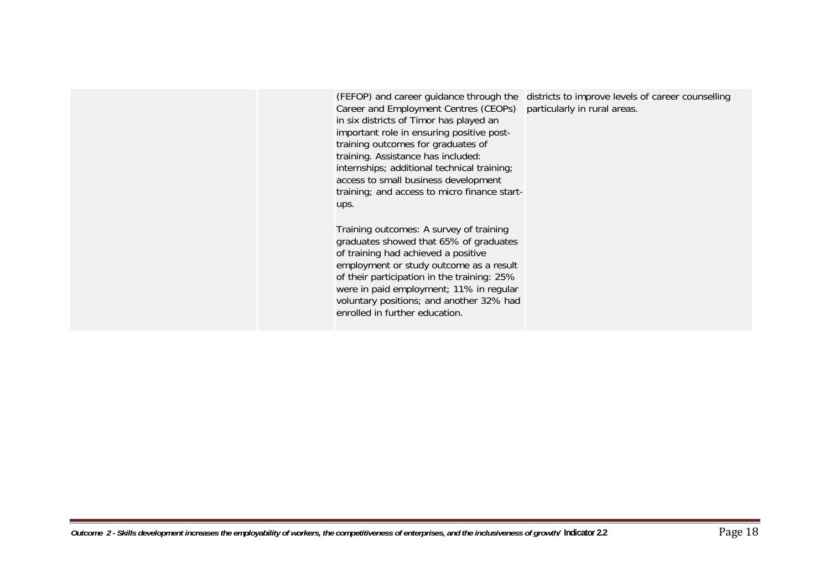Career and Employment Centres (CEOPs) in six districts of Timor has played an important role in ensuring positive posttraining outcomes for graduates of training. Assistance has included: internships; additional technical training; access to small business development training; and access to micro finance startups.

Training outcomes: A survey of training graduates showed that 65% of graduates of training had achieved a positive employment or study outcome as a result of their participation in the training: 25% were in paid employment; 11% in regular voluntary positions; and another 32% had enrolled in further education.

(FEFOP) and career guidance through the districts to improve levels of career counselling particularly in rural areas.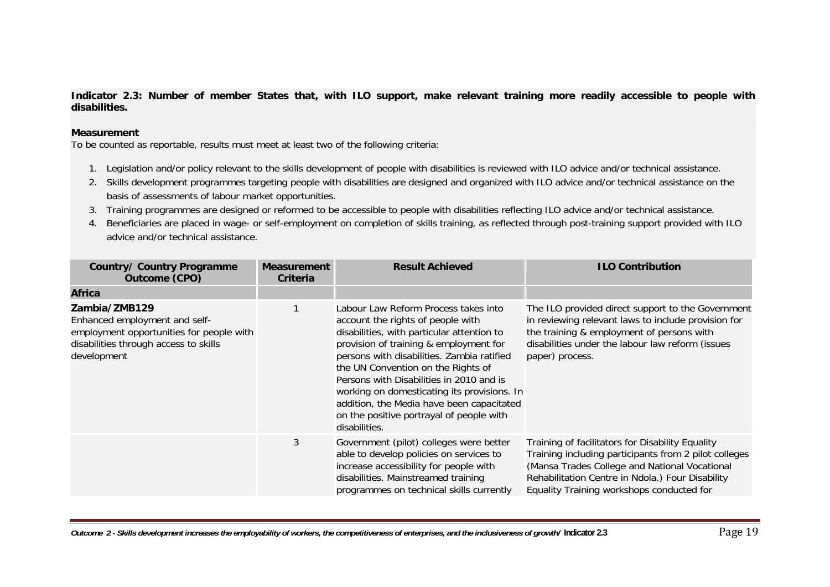**Indicator 2.3: Number of member States that, with ILO support, make relevant training more readily accessible to people with disabilities.** 

#### **Measurement**

- 1. Legislation and/or policy relevant to the skills development of people with disabilities is reviewed with ILO advice and/or technical assistance.
- 2. Skills development programmes targeting people with disabilities are designed and organized with ILO advice and/or technical assistance on the basis of assessments of labour market opportunities.
- 3. Training programmes are designed or reformed to be accessible to people with disabilities reflecting ILO advice and/or technical assistance.
- 4. Beneficiaries are placed in wage- or self-employment on completion of skills training, as reflected through post-training support provided with ILO advice and/or technical assistance.

| <b>Country/ Country Programme</b><br><b>Outcome (CPO)</b>                                                                                          | <b>Measurement</b><br>Criteria | <b>Result Achieved</b>                                                                                                                                                                                                                                                                                                                                                                                                                                     | <b>ILO Contribution</b>                                                                                                                                                                                                                                     |
|----------------------------------------------------------------------------------------------------------------------------------------------------|--------------------------------|------------------------------------------------------------------------------------------------------------------------------------------------------------------------------------------------------------------------------------------------------------------------------------------------------------------------------------------------------------------------------------------------------------------------------------------------------------|-------------------------------------------------------------------------------------------------------------------------------------------------------------------------------------------------------------------------------------------------------------|
| <b>Africa</b>                                                                                                                                      |                                |                                                                                                                                                                                                                                                                                                                                                                                                                                                            |                                                                                                                                                                                                                                                             |
| Zambia/ZMB129<br>Enhanced employment and self-<br>employment opportunities for people with<br>disabilities through access to skills<br>development |                                | Labour Law Reform Process takes into<br>account the rights of people with<br>disabilities, with particular attention to<br>provision of training & employment for<br>persons with disabilities. Zambia ratified<br>the UN Convention on the Rights of<br>Persons with Disabilities in 2010 and is<br>working on domesticating its provisions. In<br>addition, the Media have been capacitated<br>on the positive portrayal of people with<br>disabilities. | The ILO provided direct support to the Government<br>in reviewing relevant laws to include provision for<br>the training & employment of persons with<br>disabilities under the labour law reform (issues<br>paper) process.                                |
|                                                                                                                                                    | 3                              | Government (pilot) colleges were better<br>able to develop policies on services to<br>increase accessibility for people with<br>disabilities. Mainstreamed training<br>programmes on technical skills currently                                                                                                                                                                                                                                            | Training of facilitators for Disability Equality<br>Training including participants from 2 pilot colleges<br>(Mansa Trades College and National Vocational<br>Rehabilitation Centre in Ndola.) Four Disability<br>Equality Training workshops conducted for |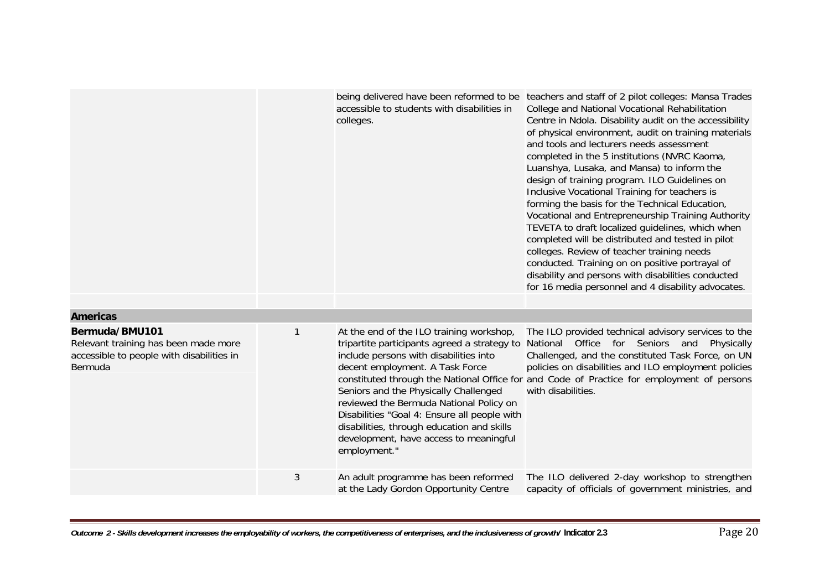|                                                                                                                |   | accessible to students with disabilities in<br>colleges.                                                                                                                                                                                                                                                                                                                                                          | being delivered have been reformed to be teachers and staff of 2 pilot colleges: Mansa Trades<br>College and National Vocational Rehabilitation<br>Centre in Ndola. Disability audit on the accessibility<br>of physical environment, audit on training materials<br>and tools and lecturers needs assessment<br>completed in the 5 institutions (NVRC Kaoma,<br>Luanshya, Lusaka, and Mansa) to inform the<br>design of training program. ILO Guidelines on<br>Inclusive Vocational Training for teachers is<br>forming the basis for the Technical Education,<br>Vocational and Entrepreneurship Training Authority<br>TEVETA to draft localized guidelines, which when<br>completed will be distributed and tested in pilot<br>colleges. Review of teacher training needs<br>conducted. Training on on positive portrayal of<br>disability and persons with disabilities conducted<br>for 16 media personnel and 4 disability advocates. |
|----------------------------------------------------------------------------------------------------------------|---|-------------------------------------------------------------------------------------------------------------------------------------------------------------------------------------------------------------------------------------------------------------------------------------------------------------------------------------------------------------------------------------------------------------------|---------------------------------------------------------------------------------------------------------------------------------------------------------------------------------------------------------------------------------------------------------------------------------------------------------------------------------------------------------------------------------------------------------------------------------------------------------------------------------------------------------------------------------------------------------------------------------------------------------------------------------------------------------------------------------------------------------------------------------------------------------------------------------------------------------------------------------------------------------------------------------------------------------------------------------------------|
|                                                                                                                |   |                                                                                                                                                                                                                                                                                                                                                                                                                   |                                                                                                                                                                                                                                                                                                                                                                                                                                                                                                                                                                                                                                                                                                                                                                                                                                                                                                                                             |
| <b>Americas</b>                                                                                                |   |                                                                                                                                                                                                                                                                                                                                                                                                                   |                                                                                                                                                                                                                                                                                                                                                                                                                                                                                                                                                                                                                                                                                                                                                                                                                                                                                                                                             |
| Bermuda/BMU101<br>Relevant training has been made more<br>accessible to people with disabilities in<br>Bermuda | 1 | At the end of the ILO training workshop,<br>tripartite participants agreed a strategy to<br>include persons with disabilities into<br>decent employment. A Task Force<br>Seniors and the Physically Challenged<br>reviewed the Bermuda National Policy on<br>Disabilities "Goal 4: Ensure all people with<br>disabilities, through education and skills<br>development, have access to meaningful<br>employment." | The ILO provided technical advisory services to the<br>National Office for Seniors and Physically<br>Challenged, and the constituted Task Force, on UN<br>policies on disabilities and ILO employment policies<br>constituted through the National Office for and Code of Practice for employment of persons<br>with disabilities.                                                                                                                                                                                                                                                                                                                                                                                                                                                                                                                                                                                                          |
|                                                                                                                | 3 | An adult programme has been reformed<br>at the Lady Gordon Opportunity Centre                                                                                                                                                                                                                                                                                                                                     | The ILO delivered 2-day workshop to strengthen<br>capacity of officials of government ministries, and                                                                                                                                                                                                                                                                                                                                                                                                                                                                                                                                                                                                                                                                                                                                                                                                                                       |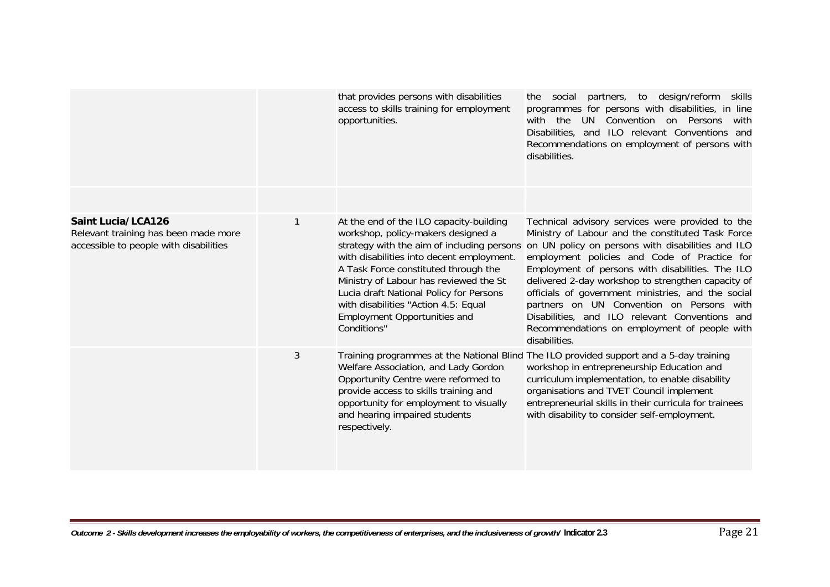|                                                                                                             |   | that provides persons with disabilities<br>access to skills training for employment<br>opportunities.                                                                                                                                                                                                                                                                                               | social partners, to design/reform<br>skills<br>the<br>programmes for persons with disabilities, in line<br>UN Convention on Persons<br>with the<br>with<br>Disabilities, and ILO relevant Conventions and<br>Recommendations on employment of persons with<br>disabilities.                                                                                                                                                                                                                                                                |
|-------------------------------------------------------------------------------------------------------------|---|-----------------------------------------------------------------------------------------------------------------------------------------------------------------------------------------------------------------------------------------------------------------------------------------------------------------------------------------------------------------------------------------------------|--------------------------------------------------------------------------------------------------------------------------------------------------------------------------------------------------------------------------------------------------------------------------------------------------------------------------------------------------------------------------------------------------------------------------------------------------------------------------------------------------------------------------------------------|
| <b>Saint Lucia/LCA126</b><br>Relevant training has been made more<br>accessible to people with disabilities |   | At the end of the ILO capacity-building<br>workshop, policy-makers designed a<br>strategy with the aim of including persons<br>with disabilities into decent employment.<br>A Task Force constituted through the<br>Ministry of Labour has reviewed the St<br>Lucia draft National Policy for Persons<br>with disabilities "Action 4.5: Equal<br><b>Employment Opportunities and</b><br>Conditions" | Technical advisory services were provided to the<br>Ministry of Labour and the constituted Task Force<br>on UN policy on persons with disabilities and ILO<br>employment policies and Code of Practice for<br>Employment of persons with disabilities. The ILO<br>delivered 2-day workshop to strengthen capacity of<br>officials of government ministries, and the social<br>partners on UN Convention on Persons with<br>Disabilities, and ILO relevant Conventions and<br>Recommendations on employment of people with<br>disabilities. |
|                                                                                                             | 3 | Welfare Association, and Lady Gordon<br>Opportunity Centre were reformed to<br>provide access to skills training and<br>opportunity for employment to visually<br>and hearing impaired students<br>respectively.                                                                                                                                                                                    | Training programmes at the National Blind The ILO provided support and a 5-day training<br>workshop in entrepreneurship Education and<br>curriculum implementation, to enable disability<br>organisations and TVET Council implement<br>entrepreneurial skills in their curricula for trainees<br>with disability to consider self-employment.                                                                                                                                                                                             |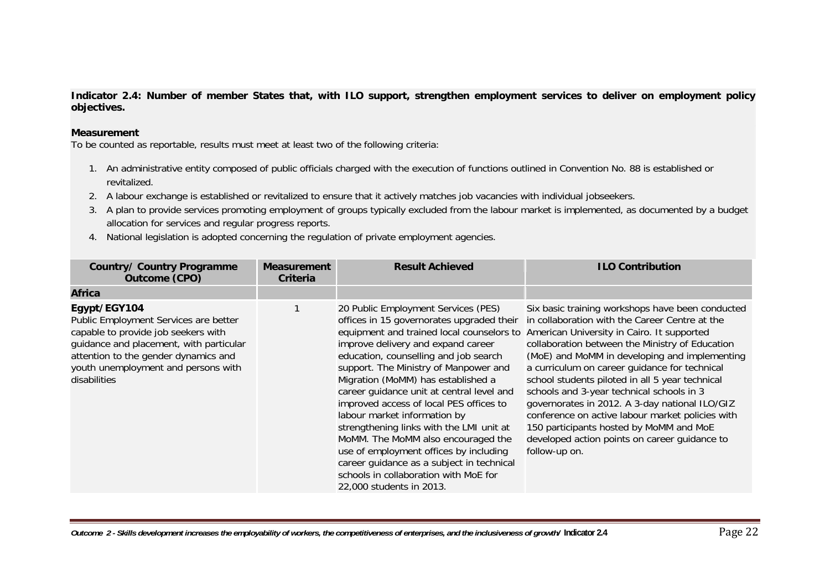**Indicator 2.4: Number of member States that, with ILO support, strengthen employment services to deliver on employment policy objectives.** 

#### **Measurement**

- 1. An administrative entity composed of public officials charged with the execution of functions outlined in Convention No. 88 is established or revitalized.
- 2. A labour exchange is established or revitalized to ensure that it actively matches job vacancies with individual jobseekers.
- 3. A plan to provide services promoting employment of groups typically excluded from the labour market is implemented, as documented by a budget allocation for services and regular progress reports.
- 4. National legislation is adopted concerning the regulation of private employment agencies.

| <b>Country/ Country Programme</b><br>Outcome (CPO)                                                                                                                                                                                     | <b>Measurement</b><br>Criteria | <b>Result Achieved</b>                                                                                                                                                                                                                                                                                                                                                                                                                                                                                                                                                                                                                                            | <b>ILO Contribution</b>                                                                                                                                                                                                                                                                                                                                                                                                                                                                                                                                                                                                  |
|----------------------------------------------------------------------------------------------------------------------------------------------------------------------------------------------------------------------------------------|--------------------------------|-------------------------------------------------------------------------------------------------------------------------------------------------------------------------------------------------------------------------------------------------------------------------------------------------------------------------------------------------------------------------------------------------------------------------------------------------------------------------------------------------------------------------------------------------------------------------------------------------------------------------------------------------------------------|--------------------------------------------------------------------------------------------------------------------------------------------------------------------------------------------------------------------------------------------------------------------------------------------------------------------------------------------------------------------------------------------------------------------------------------------------------------------------------------------------------------------------------------------------------------------------------------------------------------------------|
| <b>Africa</b>                                                                                                                                                                                                                          |                                |                                                                                                                                                                                                                                                                                                                                                                                                                                                                                                                                                                                                                                                                   |                                                                                                                                                                                                                                                                                                                                                                                                                                                                                                                                                                                                                          |
| Egypt/EGY104<br>Public Employment Services are better<br>capable to provide job seekers with<br>guidance and placement, with particular<br>attention to the gender dynamics and<br>youth unemployment and persons with<br>disabilities |                                | 20 Public Employment Services (PES)<br>offices in 15 governorates upgraded their<br>equipment and trained local counselors to<br>improve delivery and expand career<br>education, counselling and job search<br>support. The Ministry of Manpower and<br>Migration (MoMM) has established a<br>career quidance unit at central level and<br>improved access of local PES offices to<br>labour market information by<br>strengthening links with the LMI unit at<br>MoMM. The MoMM also encouraged the<br>use of employment offices by including<br>career guidance as a subject in technical<br>schools in collaboration with MoE for<br>22,000 students in 2013. | Six basic training workshops have been conducted<br>in collaboration with the Career Centre at the<br>American University in Cairo. It supported<br>collaboration between the Ministry of Education<br>(MoE) and MoMM in developing and implementing<br>a curriculum on career guidance for technical<br>school students piloted in all 5 year technical<br>schools and 3-year technical schools in 3<br>governorates in 2012. A 3-day national ILO/GIZ<br>conference on active labour market policies with<br>150 participants hosted by MoMM and MoE<br>developed action points on career guidance to<br>follow-up on. |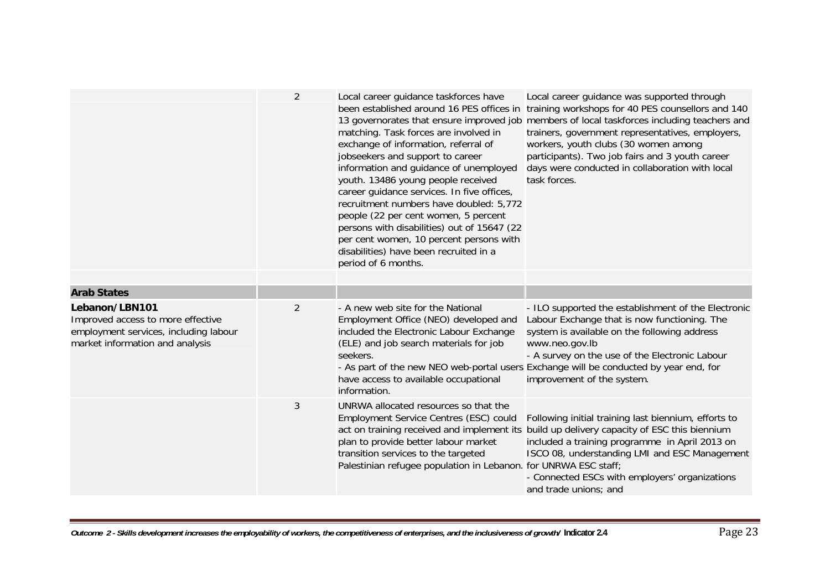|                                                                                                                                 | $\overline{2}$ | Local career guidance taskforces have<br>been established around 16 PES offices in<br>matching. Task forces are involved in<br>exchange of information, referral of<br>jobseekers and support to career<br>information and guidance of unemployed<br>youth. 13486 young people received<br>career guidance services. In five offices,<br>recruitment numbers have doubled: 5,772<br>people (22 per cent women, 5 percent<br>persons with disabilities) out of 15647 (22<br>per cent women, 10 percent persons with<br>disabilities) have been recruited in a<br>period of 6 months. | Local career guidance was supported through<br>training workshops for 40 PES counsellors and 140<br>13 governorates that ensure improved job members of local taskforces including teachers and<br>trainers, government representatives, employers,<br>workers, youth clubs (30 women among<br>participants). Two job fairs and 3 youth career<br>days were conducted in collaboration with local<br>task forces. |
|---------------------------------------------------------------------------------------------------------------------------------|----------------|-------------------------------------------------------------------------------------------------------------------------------------------------------------------------------------------------------------------------------------------------------------------------------------------------------------------------------------------------------------------------------------------------------------------------------------------------------------------------------------------------------------------------------------------------------------------------------------|-------------------------------------------------------------------------------------------------------------------------------------------------------------------------------------------------------------------------------------------------------------------------------------------------------------------------------------------------------------------------------------------------------------------|
|                                                                                                                                 |                |                                                                                                                                                                                                                                                                                                                                                                                                                                                                                                                                                                                     |                                                                                                                                                                                                                                                                                                                                                                                                                   |
| <b>Arab States</b>                                                                                                              |                |                                                                                                                                                                                                                                                                                                                                                                                                                                                                                                                                                                                     |                                                                                                                                                                                                                                                                                                                                                                                                                   |
| Lebanon/LBN101<br>Improved access to more effective<br>employment services, including labour<br>market information and analysis | 2              | - A new web site for the National<br>Employment Office (NEO) developed and<br>included the Electronic Labour Exchange<br>(ELE) and job search materials for job<br>seekers.<br>have access to available occupational<br>information.                                                                                                                                                                                                                                                                                                                                                | - ILO supported the establishment of the Electronic<br>Labour Exchange that is now functioning. The<br>system is available on the following address<br>www.neo.gov.lb<br>- A survey on the use of the Electronic Labour<br>- As part of the new NEO web-portal users Exchange will be conducted by year end, for<br>improvement of the system.                                                                    |
|                                                                                                                                 | 3              | UNRWA allocated resources so that the<br>Employment Service Centres (ESC) could<br>act on training received and implement its<br>plan to provide better labour market<br>transition services to the targeted<br>Palestinian refugee population in Lebanon. for UNRWA ESC staff;                                                                                                                                                                                                                                                                                                     | Following initial training last biennium, efforts to<br>build up delivery capacity of ESC this biennium<br>included a training programme in April 2013 on<br>ISCO 08, understanding LMI and ESC Management<br>- Connected ESCs with employers' organizations<br>and trade unions; and                                                                                                                             |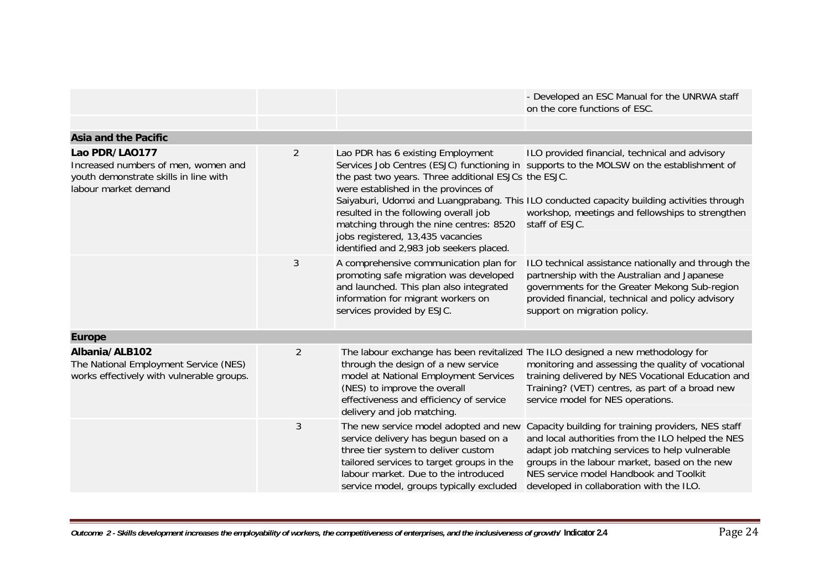|                                                                                                      |                |                                                                                                                                                                                                                                                        | - Developed an ESC Manual for the UNRWA staff<br>on the core functions of ESC.                                                                                                                                                                                                                    |
|------------------------------------------------------------------------------------------------------|----------------|--------------------------------------------------------------------------------------------------------------------------------------------------------------------------------------------------------------------------------------------------------|---------------------------------------------------------------------------------------------------------------------------------------------------------------------------------------------------------------------------------------------------------------------------------------------------|
|                                                                                                      |                |                                                                                                                                                                                                                                                        |                                                                                                                                                                                                                                                                                                   |
| <b>Asia and the Pacific</b><br>Lao PDR/LA0177                                                        | $\overline{2}$ | Lao PDR has 6 existing Employment                                                                                                                                                                                                                      | ILO provided financial, technical and advisory                                                                                                                                                                                                                                                    |
| Increased numbers of men, women and<br>youth demonstrate skills in line with<br>labour market demand |                | the past two years. Three additional ESJCs the ESJC.<br>were established in the provinces of                                                                                                                                                           | Services Job Centres (ESJC) functioning in supports to the MOLSW on the establishment of                                                                                                                                                                                                          |
|                                                                                                      |                | resulted in the following overall job<br>matching through the nine centres: 8520<br>jobs registered, 13,435 vacancies<br>identified and 2,983 job seekers placed.                                                                                      | Saiyaburi, Udomxi and Luangprabang. This ILO conducted capacity building activities through<br>workshop, meetings and fellowships to strengthen<br>staff of ESJC.                                                                                                                                 |
|                                                                                                      | 3              | A comprehensive communication plan for<br>promoting safe migration was developed<br>and launched. This plan also integrated<br>information for migrant workers on<br>services provided by ESJC.                                                        | ILO technical assistance nationally and through the<br>partnership with the Australian and Japanese<br>governments for the Greater Mekong Sub-region<br>provided financial, technical and policy advisory<br>support on migration policy.                                                         |
| <b>Europe</b>                                                                                        |                |                                                                                                                                                                                                                                                        |                                                                                                                                                                                                                                                                                                   |
| Albania/ALB102<br>The National Employment Service (NES)<br>works effectively with vulnerable groups. | $\overline{2}$ | through the design of a new service<br>model at National Employment Services<br>(NES) to improve the overall<br>effectiveness and efficiency of service<br>delivery and job matching.                                                                  | The labour exchange has been revitalized The ILO designed a new methodology for<br>monitoring and assessing the quality of vocational<br>training delivered by NES Vocational Education and<br>Training? (VET) centres, as part of a broad new<br>service model for NES operations.               |
|                                                                                                      | 3              | The new service model adopted and new<br>service delivery has begun based on a<br>three tier system to deliver custom<br>tailored services to target groups in the<br>labour market. Due to the introduced<br>service model, groups typically excluded | Capacity building for training providers, NES staff<br>and local authorities from the ILO helped the NES<br>adapt job matching services to help vulnerable<br>groups in the labour market, based on the new<br>NES service model Handbook and Toolkit<br>developed in collaboration with the ILO. |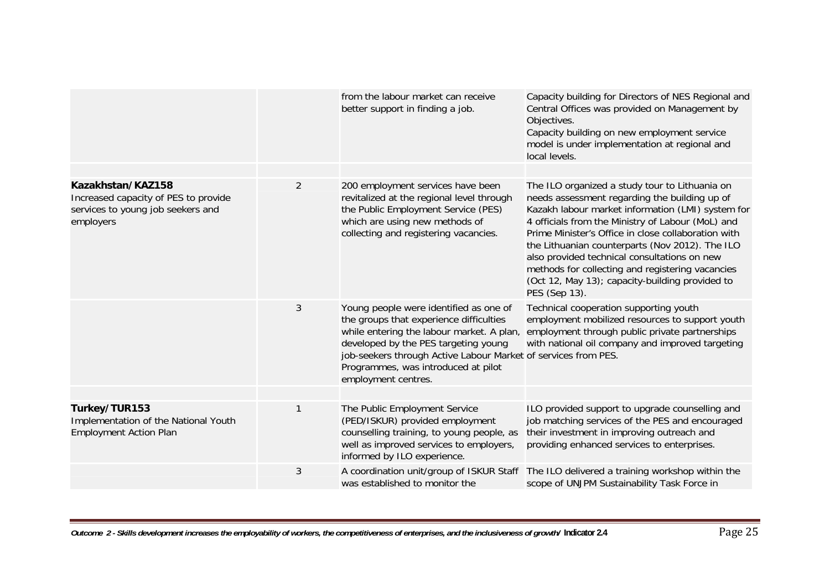|                                                                                                             |                | from the labour market can receive<br>better support in finding a job.                                                                                                                                                                                                                                 | Capacity building for Directors of NES Regional and<br>Central Offices was provided on Management by<br>Objectives.<br>Capacity building on new employment service<br>model is under implementation at regional and<br>local levels.                                                                                                                                                                                                                                                        |
|-------------------------------------------------------------------------------------------------------------|----------------|--------------------------------------------------------------------------------------------------------------------------------------------------------------------------------------------------------------------------------------------------------------------------------------------------------|---------------------------------------------------------------------------------------------------------------------------------------------------------------------------------------------------------------------------------------------------------------------------------------------------------------------------------------------------------------------------------------------------------------------------------------------------------------------------------------------|
| Kazakhstan/KAZ158<br>Increased capacity of PES to provide<br>services to young job seekers and<br>employers | $\overline{2}$ | 200 employment services have been<br>revitalized at the regional level through<br>the Public Employment Service (PES)<br>which are using new methods of<br>collecting and registering vacancies.                                                                                                       | The ILO organized a study tour to Lithuania on<br>needs assessment regarding the building up of<br>Kazakh labour market information (LMI) system for<br>4 officials from the Ministry of Labour (MoL) and<br>Prime Minister's Office in close collaboration with<br>the Lithuanian counterparts (Nov 2012). The ILO<br>also provided technical consultations on new<br>methods for collecting and registering vacancies<br>(Oct 12, May 13); capacity-building provided to<br>PES (Sep 13). |
|                                                                                                             | 3              | Young people were identified as one of<br>the groups that experience difficulties<br>while entering the labour market. A plan,<br>developed by the PES targeting young<br>job-seekers through Active Labour Market of services from PES.<br>Programmes, was introduced at pilot<br>employment centres. | Technical cooperation supporting youth<br>employment mobilized resources to support youth<br>employment through public private partnerships<br>with national oil company and improved targeting                                                                                                                                                                                                                                                                                             |
| Turkey/TUR153<br>Implementation of the National Youth<br><b>Employment Action Plan</b>                      | 1              | The Public Employment Service<br>(PED/ISKUR) provided employment<br>counselling training, to young people, as<br>well as improved services to employers,<br>informed by ILO experience.                                                                                                                | ILO provided support to upgrade counselling and<br>job matching services of the PES and encouraged<br>their investment in improving outreach and<br>providing enhanced services to enterprises.                                                                                                                                                                                                                                                                                             |
|                                                                                                             | 3              | was established to monitor the                                                                                                                                                                                                                                                                         | A coordination unit/group of ISKUR Staff The ILO delivered a training workshop within the<br>scope of UNJPM Sustainability Task Force in                                                                                                                                                                                                                                                                                                                                                    |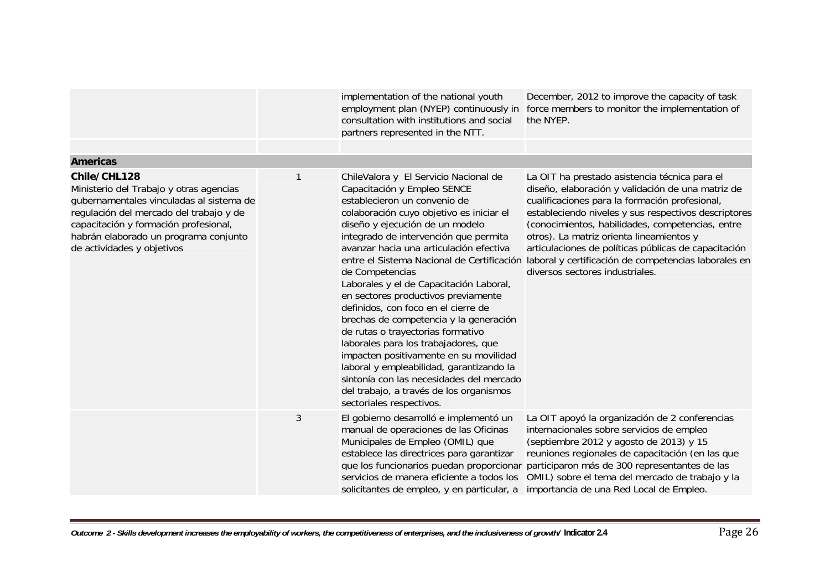|                                                                                                                                                                                                                                                                |   | implementation of the national youth<br>employment plan (NYEP) continuously in<br>consultation with institutions and social<br>partners represented in the NTT.                                                                                                                                                                                                                                                                                                                                                                                                                                                                                                                                                                                                                                   | December, 2012 to improve the capacity of task<br>force members to monitor the implementation of<br>the NYEP.                                                                                                                                                                                                                                                                                                                                                   |
|----------------------------------------------------------------------------------------------------------------------------------------------------------------------------------------------------------------------------------------------------------------|---|---------------------------------------------------------------------------------------------------------------------------------------------------------------------------------------------------------------------------------------------------------------------------------------------------------------------------------------------------------------------------------------------------------------------------------------------------------------------------------------------------------------------------------------------------------------------------------------------------------------------------------------------------------------------------------------------------------------------------------------------------------------------------------------------------|-----------------------------------------------------------------------------------------------------------------------------------------------------------------------------------------------------------------------------------------------------------------------------------------------------------------------------------------------------------------------------------------------------------------------------------------------------------------|
| <b>Americas</b>                                                                                                                                                                                                                                                |   |                                                                                                                                                                                                                                                                                                                                                                                                                                                                                                                                                                                                                                                                                                                                                                                                   |                                                                                                                                                                                                                                                                                                                                                                                                                                                                 |
| Chile/CHL128<br>Ministerio del Trabajo y otras agencias<br>gubernamentales vinculadas al sistema de<br>regulación del mercado del trabajo y de<br>capacitación y formación profesional,<br>habrán elaborado un programa conjunto<br>de actividades y objetivos | 1 | ChileValora y El Servicio Nacional de<br>Capacitación y Empleo SENCE<br>establecieron un convenio de<br>colaboración cuyo objetivo es iniciar el<br>diseño y ejecución de un modelo<br>integrado de intervención que permita<br>avanzar hacia una articulación efectiva<br>entre el Sistema Nacional de Certificación<br>de Competencias<br>Laborales y el de Capacitación Laboral,<br>en sectores productivos previamente<br>definidos, con foco en el cierre de<br>brechas de competencia y la generación<br>de rutas o trayectorias formativo<br>laborales para los trabajadores, que<br>impacten positivamente en su movilidad<br>laboral y empleabilidad, garantizando la<br>sintonía con las necesidades del mercado<br>del trabajo, a través de los organismos<br>sectoriales respectivos. | La OIT ha prestado asistencia técnica para el<br>diseño, elaboración y validación de una matriz de<br>cualificaciones para la formación profesional,<br>estableciendo niveles y sus respectivos descriptores<br>(conocimientos, habilidades, competencias, entre<br>otros). La matriz orienta lineamientos y<br>articulaciones de políticas públicas de capacitación<br>laboral y certificación de competencias laborales en<br>diversos sectores industriales. |
|                                                                                                                                                                                                                                                                | 3 | El gobierno desarrolló e implementó un<br>manual de operaciones de las Oficinas<br>Municipales de Empleo (OMIL) que<br>establece las directrices para garantizar<br>que los funcionarios puedan proporcionar<br>servicios de manera eficiente a todos los<br>solicitantes de empleo, y en particular, a                                                                                                                                                                                                                                                                                                                                                                                                                                                                                           | La OIT apoyó la organización de 2 conferencias<br>internacionales sobre servicios de empleo<br>(septiembre 2012 y agosto de 2013) y 15<br>reuniones regionales de capacitación (en las que<br>participaron más de 300 representantes de las<br>OMIL) sobre el tema del mercado de trabajo y la<br>importancia de una Red Local de Empleo.                                                                                                                       |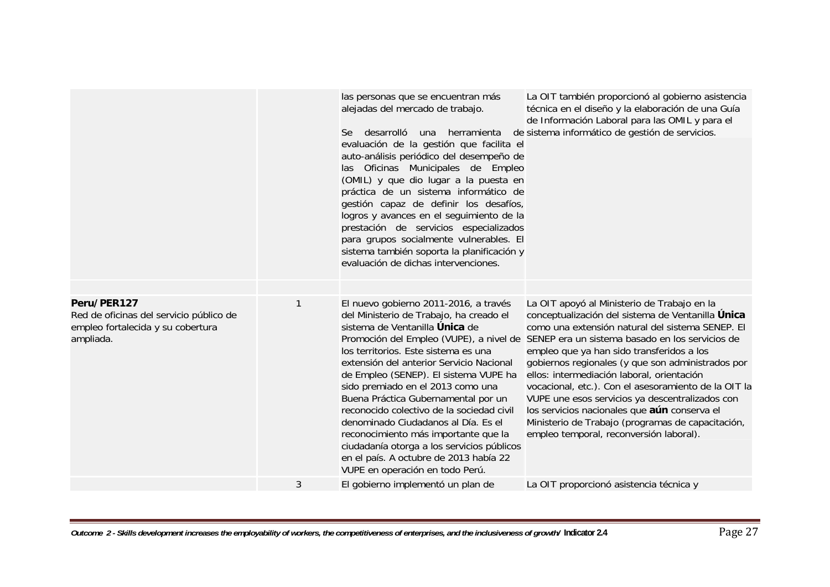|                                                                                                          |   | las personas que se encuentran más<br>alejadas del mercado de trabajo.<br>Se desarrolló<br>una herramienta<br>evaluación de la gestión que facilita el<br>auto-análisis periódico del desempeño de<br>las Oficinas Municipales de Empleo<br>(OMIL) y que dio lugar a la puesta en<br>práctica de un sistema informático de<br>gestión capaz de definir los desafíos,<br>logros y avances en el seguimiento de la<br>prestación de servicios especializados<br>para grupos socialmente vulnerables. El<br>sistema también soporta la planificación y<br>evaluación de dichas intervenciones. | La OIT también proporcionó al gobierno asistencia<br>técnica en el diseño y la elaboración de una Guía<br>de Información Laboral para las OMIL y para el<br>de sistema informático de gestión de servicios.                                                                                                                                                                                                                                                                                                                                                                                                                                                |
|----------------------------------------------------------------------------------------------------------|---|---------------------------------------------------------------------------------------------------------------------------------------------------------------------------------------------------------------------------------------------------------------------------------------------------------------------------------------------------------------------------------------------------------------------------------------------------------------------------------------------------------------------------------------------------------------------------------------------|------------------------------------------------------------------------------------------------------------------------------------------------------------------------------------------------------------------------------------------------------------------------------------------------------------------------------------------------------------------------------------------------------------------------------------------------------------------------------------------------------------------------------------------------------------------------------------------------------------------------------------------------------------|
| Peru/PER127<br>Red de oficinas del servicio público de<br>empleo fortalecida y su cobertura<br>ampliada. |   | El nuevo gobierno 2011-2016, a través<br>del Ministerio de Trabajo, ha creado el<br>sistema de Ventanilla Única de<br>los territorios. Este sistema es una<br>extensión del anterior Servicio Nacional<br>de Empleo (SENEP). El sistema VUPE ha<br>sido premiado en el 2013 como una<br>Buena Práctica Gubernamental por un<br>reconocido colectivo de la sociedad civil<br>denominado Ciudadanos al Día. Es el<br>reconocimiento más importante que la<br>ciudadanía otorga a los servicios públicos<br>en el país. A octubre de 2013 había 22<br>VUPE en operación en todo Perú.          | La OIT apoyó al Ministerio de Trabajo en la<br>conceptualización del sistema de Ventanilla Única<br>como una extensión natural del sistema SENEP. El<br>Promoción del Empleo (VUPE), a nivel de SENEP era un sistema basado en los servicios de<br>empleo que ya han sido transferidos a los<br>gobiernos regionales (y que son administrados por<br>ellos: intermediación laboral, orientación<br>vocacional, etc.). Con el asesoramiento de la OIT la<br>VUPE une esos servicios ya descentralizados con<br>los servicios nacionales que aún conserva el<br>Ministerio de Trabajo (programas de capacitación,<br>empleo temporal, reconversión laboral). |
|                                                                                                          | 3 | El gobierno implementó un plan de                                                                                                                                                                                                                                                                                                                                                                                                                                                                                                                                                           | La OIT proporcionó asistencia técnica y                                                                                                                                                                                                                                                                                                                                                                                                                                                                                                                                                                                                                    |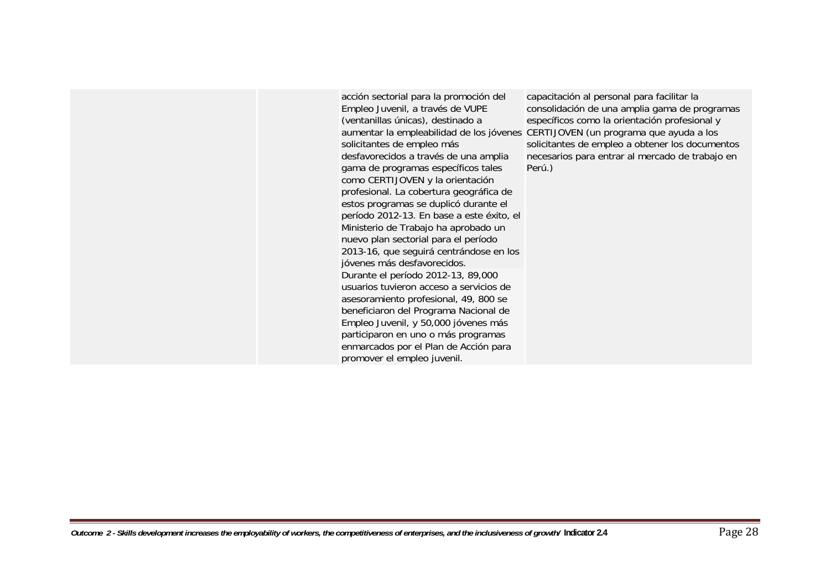acción sectorial para la promoción del Empleo Juvenil, a través de VUPE (ventanillas únicas), destinado a solicitantes de empleo más desfavorecidos a través de una amplia gama de programas específicos tales como CERTIJOVEN y la orientación profesional. La cobertura geográfica de estos programas se duplicó durante el período 2012-13. En base a este éxito, el Ministerio de Trabajo ha aprobado un nuevo plan sectorial para el período 2013-16, que seguirá centrándose en los jóvenes más desfavorecidos. Durante el período 2012-13, 89,000 usuarios tuvieron acceso a servicios de asesoramiento profesional, 49, 800 se beneficiaron del Programa Nacional de Empleo Juvenil, y 50,000 jóvenes más participaron en uno o más programas enmarcados por el Plan de Acción para promover el empleo juvenil.

aumentar la empleabilidad de los jóvenes CERTIJOVEN (un programa que ayuda a los capacitación al personal para facilitar la consolidación de una amplia gama de programas específicos como la orientación profesional y solicitantes de empleo a obtener los documentos necesarios para entrar al mercado de trabajo en Perú.)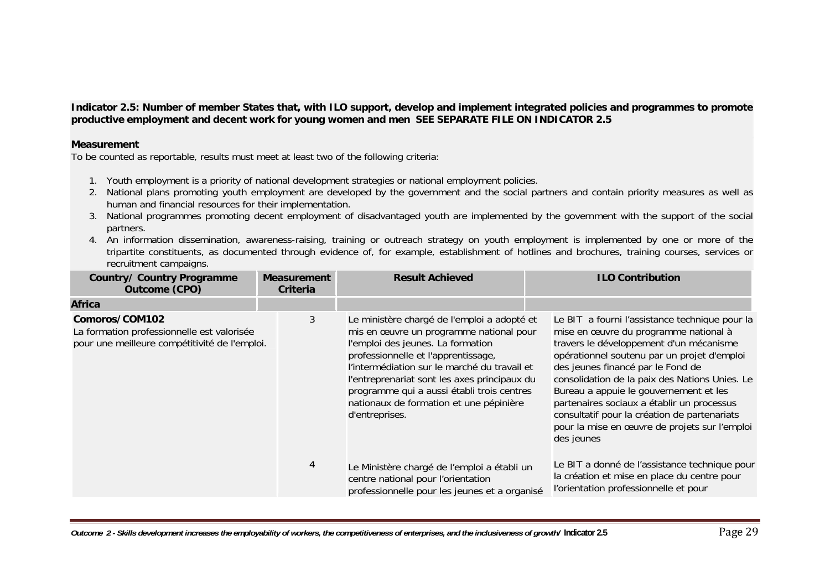**Indicator 2.5: Number of member States that, with ILO support, develop and implement integrated policies and programmes to promote productive employment and decent work for young women and men SEE SEPARATE FILE ON INDICATOR 2.5** 

#### **Measurement**

- 1. Youth employment is a priority of national development strategies or national employment policies.
- 2. National plans promoting youth employment are developed by the government and the social partners and contain priority measures as well as human and financial resources for their implementation.
- 3. National programmes promoting decent employment of disadvantaged youth are implemented by the government with the support of the social partners.
- 4. An information dissemination, awareness-raising, training or outreach strategy on youth employment is implemented by one or more of the tripartite constituents, as documented through evidence of, for example, establishment of hotlines and brochures, training courses, services or recruitment campaigns.

| <b>Country/ Country Programme</b><br><b>Outcome (CPO)</b>                                                     | <b>Measurement</b><br><b>Criteria</b> | <b>Result Achieved</b>                                                                                                                                                                                                                                                                                                                                                        | <b>ILO Contribution</b>                                                                                                                                                                                                                                                                                                                                                                                                                                                         |
|---------------------------------------------------------------------------------------------------------------|---------------------------------------|-------------------------------------------------------------------------------------------------------------------------------------------------------------------------------------------------------------------------------------------------------------------------------------------------------------------------------------------------------------------------------|---------------------------------------------------------------------------------------------------------------------------------------------------------------------------------------------------------------------------------------------------------------------------------------------------------------------------------------------------------------------------------------------------------------------------------------------------------------------------------|
| <b>Africa</b>                                                                                                 |                                       |                                                                                                                                                                                                                                                                                                                                                                               |                                                                                                                                                                                                                                                                                                                                                                                                                                                                                 |
| Comoros/COM102<br>La formation professionnelle est valorisée<br>pour une meilleure compétitivité de l'emploi. | 3                                     | Le ministère chargé de l'emploi a adopté et<br>mis en œuvre un programme national pour<br>l'emploi des jeunes. La formation<br>professionnelle et l'apprentissage,<br>l'intermédiation sur le marché du travail et<br>l'entreprenariat sont les axes principaux du<br>programme qui a aussi établi trois centres<br>nationaux de formation et une pépinière<br>d'entreprises. | Le BIT a fourni l'assistance technique pour la<br>mise en œuvre du programme national à<br>travers le développement d'un mécanisme<br>opérationnel soutenu par un projet d'emploi<br>des jeunes financé par le Fond de<br>consolidation de la paix des Nations Unies. Le<br>Bureau a appuie le gouvernement et les<br>partenaires sociaux a établir un processus<br>consultatif pour la création de partenariats<br>pour la mise en œuvre de projets sur l'emploi<br>des jeunes |
|                                                                                                               | 4                                     | Le Ministère chargé de l'emploi a établi un<br>centre national pour l'orientation<br>professionnelle pour les jeunes et a organisé                                                                                                                                                                                                                                            | Le BIT a donné de l'assistance technique pour<br>la création et mise en place du centre pour<br>l'orientation professionnelle et pour                                                                                                                                                                                                                                                                                                                                           |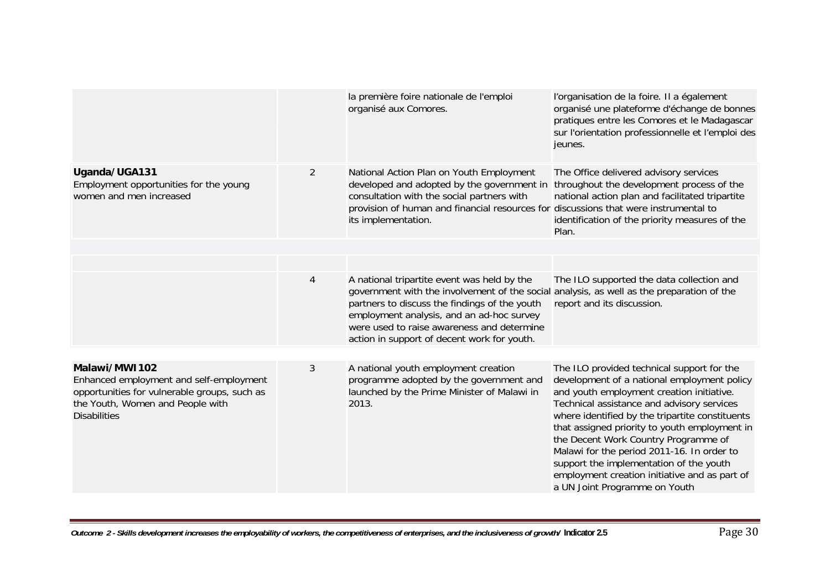|                                                                                                                                                                     |                | la première foire nationale de l'emploi<br>organisé aux Comores.                                                                                                                                                                                                                                                                    | l'organisation de la foire. Il a également<br>organisé une plateforme d'échange de bonnes<br>pratiques entre les Comores et le Madagascar<br>sur l'orientation professionnelle et l'emploi des<br>jeunes.                                                                                                                                                                                                                                                                                                   |
|---------------------------------------------------------------------------------------------------------------------------------------------------------------------|----------------|-------------------------------------------------------------------------------------------------------------------------------------------------------------------------------------------------------------------------------------------------------------------------------------------------------------------------------------|-------------------------------------------------------------------------------------------------------------------------------------------------------------------------------------------------------------------------------------------------------------------------------------------------------------------------------------------------------------------------------------------------------------------------------------------------------------------------------------------------------------|
| Uganda/UGA131<br>Employment opportunities for the young<br>women and men increased                                                                                  | $\overline{2}$ | National Action Plan on Youth Employment<br>developed and adopted by the government in<br>consultation with the social partners with<br>provision of human and financial resources for discussions that were instrumental to<br>its implementation.                                                                                 | The Office delivered advisory services<br>throughout the development process of the<br>national action plan and facilitated tripartite<br>identification of the priority measures of the<br>Plan.                                                                                                                                                                                                                                                                                                           |
|                                                                                                                                                                     |                |                                                                                                                                                                                                                                                                                                                                     |                                                                                                                                                                                                                                                                                                                                                                                                                                                                                                             |
|                                                                                                                                                                     | 4              | A national tripartite event was held by the<br>government with the involvement of the social analysis, as well as the preparation of the<br>partners to discuss the findings of the youth<br>employment analysis, and an ad-hoc survey<br>were used to raise awareness and determine<br>action in support of decent work for youth. | The ILO supported the data collection and<br>report and its discussion.                                                                                                                                                                                                                                                                                                                                                                                                                                     |
| Malawi/MW1102<br>Enhanced employment and self-employment<br>opportunities for vulnerable groups, such as<br>the Youth, Women and People with<br><b>Disabilities</b> | 3              | A national youth employment creation<br>programme adopted by the government and<br>launched by the Prime Minister of Malawi in<br>2013.                                                                                                                                                                                             | The ILO provided technical support for the<br>development of a national employment policy<br>and youth employment creation initiative.<br>Technical assistance and advisory services<br>where identified by the tripartite constituents<br>that assigned priority to youth employment in<br>the Decent Work Country Programme of<br>Malawi for the period 2011-16. In order to<br>support the implementation of the youth<br>employment creation initiative and as part of<br>a UN Joint Programme on Youth |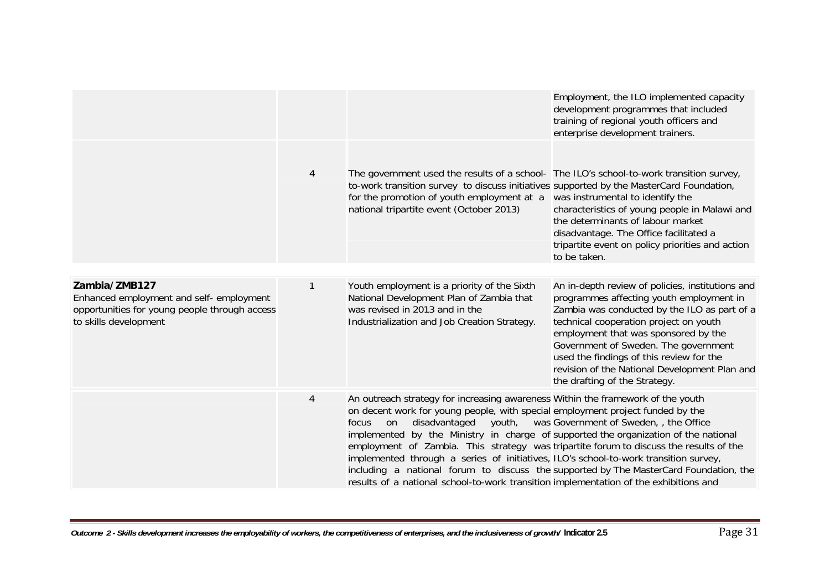|                                                                                                                                     |   |                                                                                                                                                                                                                                                                                                                                                                                                                                                                                                                                                                               | Employment, the ILO implemented capacity<br>development programmes that included<br>training of regional youth officers and<br>enterprise development trainers.                                                                                                                                                                                                                                      |
|-------------------------------------------------------------------------------------------------------------------------------------|---|-------------------------------------------------------------------------------------------------------------------------------------------------------------------------------------------------------------------------------------------------------------------------------------------------------------------------------------------------------------------------------------------------------------------------------------------------------------------------------------------------------------------------------------------------------------------------------|------------------------------------------------------------------------------------------------------------------------------------------------------------------------------------------------------------------------------------------------------------------------------------------------------------------------------------------------------------------------------------------------------|
|                                                                                                                                     | 4 | The government used the results of a school- The ILO's school-to-work transition survey,<br>to-work transition survey to discuss initiatives supported by the MasterCard Foundation,<br>for the promotion of youth employment at a<br>national tripartite event (October 2013)                                                                                                                                                                                                                                                                                                | was instrumental to identify the<br>characteristics of young people in Malawi and<br>the determinants of labour market<br>disadvantage. The Office facilitated a<br>tripartite event on policy priorities and action<br>to be taken.                                                                                                                                                                 |
| Zambia/ZMB127<br>Enhanced employment and self- employment<br>opportunities for young people through access<br>to skills development | 1 | Youth employment is a priority of the Sixth<br>National Development Plan of Zambia that<br>was revised in 2013 and in the<br>Industrialization and Job Creation Strategy.                                                                                                                                                                                                                                                                                                                                                                                                     | An in-depth review of policies, institutions and<br>programmes affecting youth employment in<br>Zambia was conducted by the ILO as part of a<br>technical cooperation project on youth<br>employment that was sponsored by the<br>Government of Sweden. The government<br>used the findings of this review for the<br>revision of the National Development Plan and<br>the drafting of the Strategy. |
|                                                                                                                                     | 4 | An outreach strategy for increasing awareness Within the framework of the youth<br>on decent work for young people, with special employment project funded by the<br>disadvantaged<br>youth,<br>focus<br>on<br>implemented by the Ministry in charge of supported the organization of the national<br>employment of Zambia. This strategy was tripartite forum to discuss the results of the<br>implemented through a series of initiatives, ILO's school-to-work transition survey,<br>results of a national school-to-work transition implementation of the exhibitions and | was Government of Sweden, the Office<br>including a national forum to discuss the supported by The MasterCard Foundation, the                                                                                                                                                                                                                                                                        |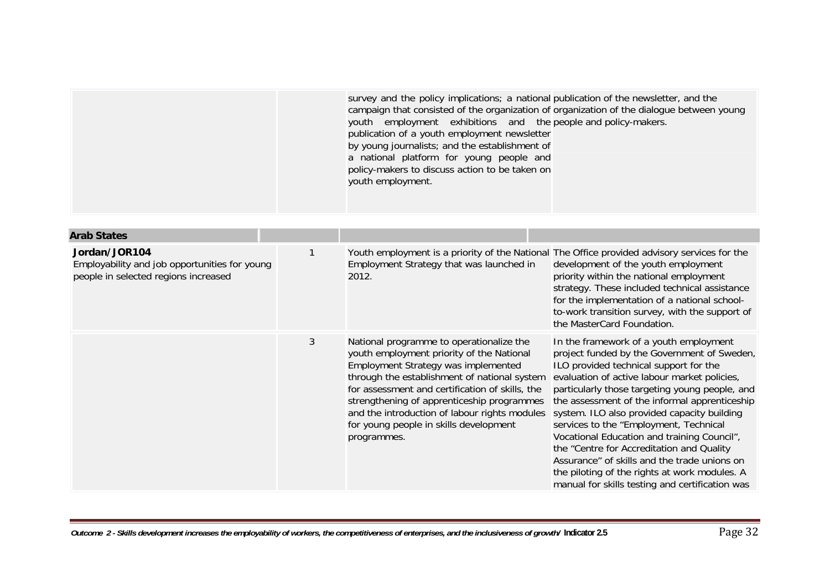| <b>Arab States</b>                                                                                     |   |                                                                                                                                                                                                                                                                                                                                                                                         |                                                                                                                                                                                                                                                                                                                                                                                                                                                                                                                                                                                                                             |
|--------------------------------------------------------------------------------------------------------|---|-----------------------------------------------------------------------------------------------------------------------------------------------------------------------------------------------------------------------------------------------------------------------------------------------------------------------------------------------------------------------------------------|-----------------------------------------------------------------------------------------------------------------------------------------------------------------------------------------------------------------------------------------------------------------------------------------------------------------------------------------------------------------------------------------------------------------------------------------------------------------------------------------------------------------------------------------------------------------------------------------------------------------------------|
| Jordan/JOR104<br>Employability and job opportunities for young<br>people in selected regions increased |   | Employment Strategy that was launched in<br>2012.                                                                                                                                                                                                                                                                                                                                       | Youth employment is a priority of the National The Office provided advisory services for the<br>development of the youth employment<br>priority within the national employment<br>strategy. These included technical assistance<br>for the implementation of a national school-<br>to-work transition survey, with the support of<br>the MasterCard Foundation.                                                                                                                                                                                                                                                             |
|                                                                                                        | 3 | National programme to operationalize the<br>youth employment priority of the National<br>Employment Strategy was implemented<br>through the establishment of national system<br>for assessment and certification of skills, the<br>strengthening of apprenticeship programmes<br>and the introduction of labour rights modules<br>for young people in skills development<br>programmes. | In the framework of a youth employment<br>project funded by the Government of Sweden,<br>ILO provided technical support for the<br>evaluation of active labour market policies,<br>particularly those targeting young people, and<br>the assessment of the informal apprenticeship<br>system. ILO also provided capacity building<br>services to the "Employment, Technical<br>Vocational Education and training Council",<br>the "Centre for Accreditation and Quality<br>Assurance" of skills and the trade unions on<br>the piloting of the rights at work modules. A<br>manual for skills testing and certification was |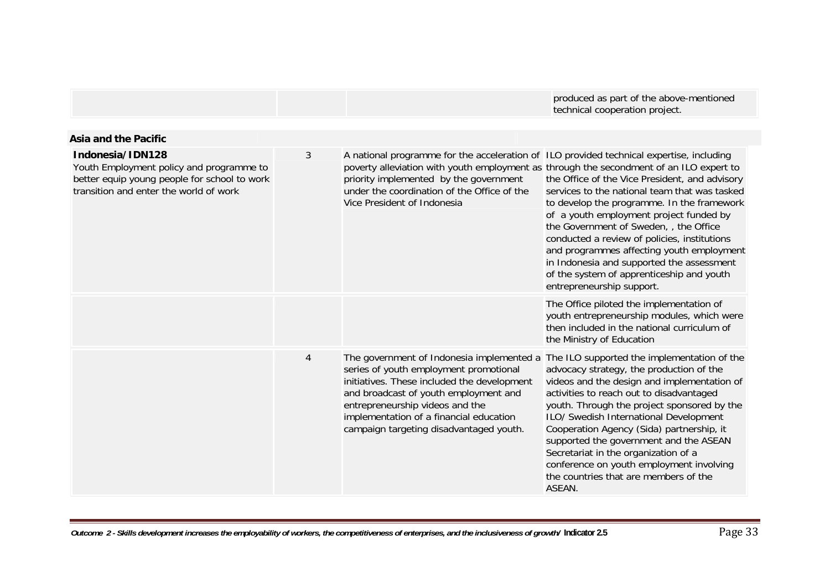|                                                                                                                                                        |                |                                                                                                                                                                                                                                                                                                             | produced as part of the above-mentioned<br>technical cooperation project.                                                                                                                                                                                                                                                                                                                                                                                                                                 |
|--------------------------------------------------------------------------------------------------------------------------------------------------------|----------------|-------------------------------------------------------------------------------------------------------------------------------------------------------------------------------------------------------------------------------------------------------------------------------------------------------------|-----------------------------------------------------------------------------------------------------------------------------------------------------------------------------------------------------------------------------------------------------------------------------------------------------------------------------------------------------------------------------------------------------------------------------------------------------------------------------------------------------------|
| <b>Asia and the Pacific</b>                                                                                                                            |                |                                                                                                                                                                                                                                                                                                             |                                                                                                                                                                                                                                                                                                                                                                                                                                                                                                           |
| Indonesia/IDN128<br>Youth Employment policy and programme to<br>better equip young people for school to work<br>transition and enter the world of work | 3              | A national programme for the acceleration of ILO provided technical expertise, including<br>poverty alleviation with youth employment as through the secondment of an ILO expert to<br>priority implemented by the government<br>under the coordination of the Office of the<br>Vice President of Indonesia | the Office of the Vice President, and advisory<br>services to the national team that was tasked<br>to develop the programme. In the framework<br>of a youth employment project funded by<br>the Government of Sweden, , the Office<br>conducted a review of policies, institutions<br>and programmes affecting youth employment<br>in Indonesia and supported the assessment<br>of the system of apprenticeship and youth<br>entrepreneurship support.                                                    |
|                                                                                                                                                        |                |                                                                                                                                                                                                                                                                                                             | The Office piloted the implementation of<br>youth entrepreneurship modules, which were<br>then included in the national curriculum of<br>the Ministry of Education                                                                                                                                                                                                                                                                                                                                        |
|                                                                                                                                                        | $\overline{4}$ | The government of Indonesia implemented a<br>series of youth employment promotional<br>initiatives. These included the development<br>and broadcast of youth employment and<br>entrepreneurship videos and the<br>implementation of a financial education<br>campaign targeting disadvantaged youth.        | The ILO supported the implementation of the<br>advocacy strategy, the production of the<br>videos and the design and implementation of<br>activities to reach out to disadvantaged<br>youth. Through the project sponsored by the<br>ILO/ Swedish International Development<br>Cooperation Agency (Sida) partnership, it<br>supported the government and the ASEAN<br>Secretariat in the organization of a<br>conference on youth employment involving<br>the countries that are members of the<br>ASEAN. |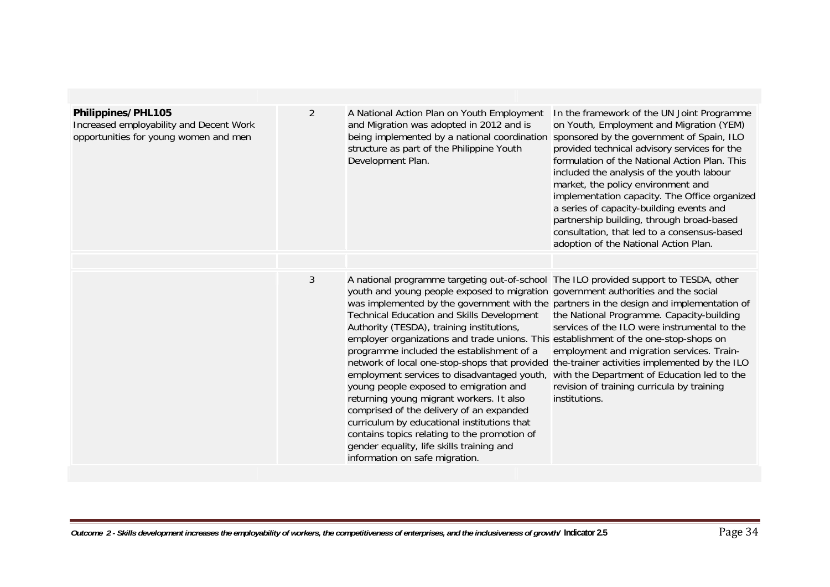| Philippines/PHL105                                                               | 2 | A National Action Plan on Youth Employment                                                                                                                                                                                                                                                                                                                                                                                                                                                                                                                                                                                                                                                                                                                                                                                                                                                                                                                                 | In the framework of the UN Joint Programme                                                                                                                                                                                                                                                                                                                                                                                                                                                                  |
|----------------------------------------------------------------------------------|---|----------------------------------------------------------------------------------------------------------------------------------------------------------------------------------------------------------------------------------------------------------------------------------------------------------------------------------------------------------------------------------------------------------------------------------------------------------------------------------------------------------------------------------------------------------------------------------------------------------------------------------------------------------------------------------------------------------------------------------------------------------------------------------------------------------------------------------------------------------------------------------------------------------------------------------------------------------------------------|-------------------------------------------------------------------------------------------------------------------------------------------------------------------------------------------------------------------------------------------------------------------------------------------------------------------------------------------------------------------------------------------------------------------------------------------------------------------------------------------------------------|
| Increased employability and Decent Work<br>opportunities for young women and men |   | and Migration was adopted in 2012 and is<br>being implemented by a national coordination<br>structure as part of the Philippine Youth<br>Development Plan.                                                                                                                                                                                                                                                                                                                                                                                                                                                                                                                                                                                                                                                                                                                                                                                                                 | on Youth, Employment and Migration (YEM)<br>sponsored by the government of Spain, ILO<br>provided technical advisory services for the<br>formulation of the National Action Plan. This<br>included the analysis of the youth labour<br>market, the policy environment and<br>implementation capacity. The Office organized<br>a series of capacity-building events and<br>partnership building, through broad-based<br>consultation, that led to a consensus-based<br>adoption of the National Action Plan. |
|                                                                                  |   |                                                                                                                                                                                                                                                                                                                                                                                                                                                                                                                                                                                                                                                                                                                                                                                                                                                                                                                                                                            |                                                                                                                                                                                                                                                                                                                                                                                                                                                                                                             |
|                                                                                  | 3 | A national programme targeting out-of-school The ILO provided support to TESDA, other<br>youth and young people exposed to migration government authorities and the social<br>was implemented by the government with the partners in the design and implementation of<br><b>Technical Education and Skills Development</b><br>Authority (TESDA), training institutions,<br>employer organizations and trade unions. This establishment of the one-stop-shops on<br>programme included the establishment of a<br>network of local one-stop-shops that provided the-trainer activities implemented by the ILO<br>employment services to disadvantaged youth,<br>young people exposed to emigration and<br>returning young migrant workers. It also<br>comprised of the delivery of an expanded<br>curriculum by educational institutions that<br>contains topics relating to the promotion of<br>gender equality, life skills training and<br>information on safe migration. | the National Programme. Capacity-building<br>services of the ILO were instrumental to the<br>employment and migration services. Train-<br>with the Department of Education led to the<br>revision of training curricula by training<br>institutions.                                                                                                                                                                                                                                                        |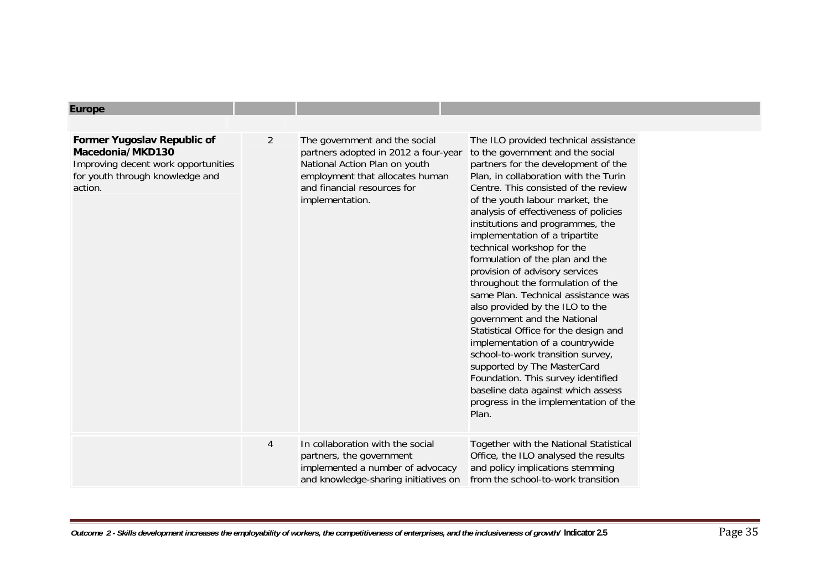| <b>Europe</b>                                                                                                                        |                |                                                                                                                                                                                             |                                                                                                                                                                                                                                                                                                                                                                                                                                                                                                                                                                                                                                                                                                                                                                                                                                                                                    |
|--------------------------------------------------------------------------------------------------------------------------------------|----------------|---------------------------------------------------------------------------------------------------------------------------------------------------------------------------------------------|------------------------------------------------------------------------------------------------------------------------------------------------------------------------------------------------------------------------------------------------------------------------------------------------------------------------------------------------------------------------------------------------------------------------------------------------------------------------------------------------------------------------------------------------------------------------------------------------------------------------------------------------------------------------------------------------------------------------------------------------------------------------------------------------------------------------------------------------------------------------------------|
|                                                                                                                                      |                |                                                                                                                                                                                             |                                                                                                                                                                                                                                                                                                                                                                                                                                                                                                                                                                                                                                                                                                                                                                                                                                                                                    |
| Former Yugoslav Republic of<br>Macedonia/MKD130<br>Improving decent work opportunities<br>for youth through knowledge and<br>action. | 2              | The government and the social<br>partners adopted in 2012 a four-year<br>National Action Plan on youth<br>employment that allocates human<br>and financial resources for<br>implementation. | The ILO provided technical assistance<br>to the government and the social<br>partners for the development of the<br>Plan, in collaboration with the Turin<br>Centre. This consisted of the review<br>of the youth labour market, the<br>analysis of effectiveness of policies<br>institutions and programmes, the<br>implementation of a tripartite<br>technical workshop for the<br>formulation of the plan and the<br>provision of advisory services<br>throughout the formulation of the<br>same Plan. Technical assistance was<br>also provided by the ILO to the<br>government and the National<br>Statistical Office for the design and<br>implementation of a countrywide<br>school-to-work transition survey,<br>supported by The MasterCard<br>Foundation. This survey identified<br>baseline data against which assess<br>progress in the implementation of the<br>Plan. |
|                                                                                                                                      | $\overline{4}$ | In collaboration with the social<br>partners, the government<br>implemented a number of advocacy<br>and knowledge-sharing initiatives on                                                    | Together with the National Statistical<br>Office, the ILO analysed the results<br>and policy implications stemming<br>from the school-to-work transition                                                                                                                                                                                                                                                                                                                                                                                                                                                                                                                                                                                                                                                                                                                           |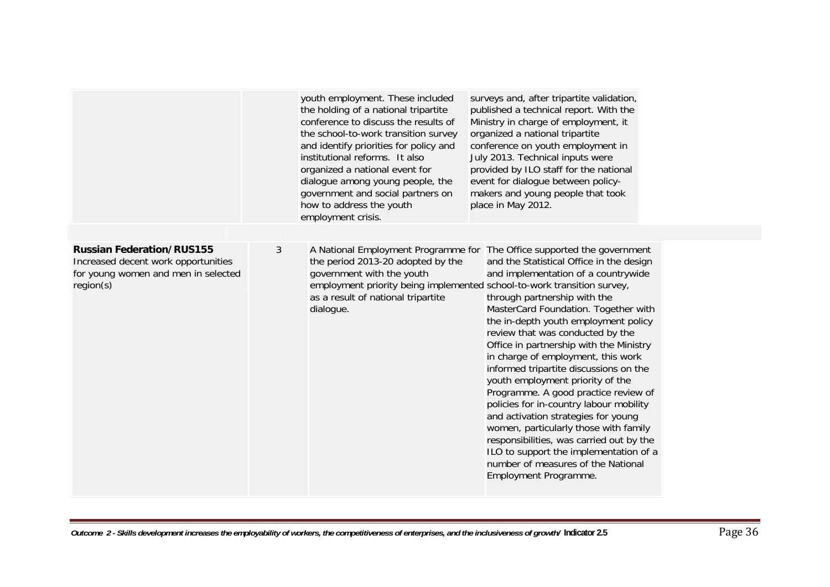|                                                                                                                             |   | youth employment. These included<br>the holding of a national tripartite<br>conference to discuss the results of<br>the school-to-work transition survey<br>and identify priorities for policy and<br>institutional reforms. It also<br>organized a national event for<br>dialogue among young people, the<br>government and social partners on<br>how to address the youth<br>employment crisis. | surveys and, after tripartite validation,<br>published a technical report. With the<br>Ministry in charge of employment, it<br>organized a national tripartite<br>conference on youth employment in<br>July 2013. Technical inputs were<br>provided by ILO staff for the national<br>event for dialogue between policy-<br>makers and young people that took<br>place in May 2012.                                                                                                                                                                                                                                                                                                                                                                                                                                                                                               |
|-----------------------------------------------------------------------------------------------------------------------------|---|---------------------------------------------------------------------------------------------------------------------------------------------------------------------------------------------------------------------------------------------------------------------------------------------------------------------------------------------------------------------------------------------------|----------------------------------------------------------------------------------------------------------------------------------------------------------------------------------------------------------------------------------------------------------------------------------------------------------------------------------------------------------------------------------------------------------------------------------------------------------------------------------------------------------------------------------------------------------------------------------------------------------------------------------------------------------------------------------------------------------------------------------------------------------------------------------------------------------------------------------------------------------------------------------|
| <b>Russian Federation/RUS155</b><br>Increased decent work opportunities<br>for young women and men in selected<br>region(s) | 3 | the period 2013-20 adopted by the<br>government with the youth<br>as a result of national tripartite<br>dialogue.                                                                                                                                                                                                                                                                                 | A National Employment Programme for The Office supported the government<br>and the Statistical Office in the design<br>and implementation of a countrywide<br>employment priority being implemented school-to-work transition survey,<br>through partnership with the<br>MasterCard Foundation. Together with<br>the in-depth youth employment policy<br>review that was conducted by the<br>Office in partnership with the Ministry<br>in charge of employment, this work<br>informed tripartite discussions on the<br>youth employment priority of the<br>Programme. A good practice review of<br>policies for in-country labour mobility<br>and activation strategies for young<br>women, particularly those with family<br>responsibilities, was carried out by the<br>ILO to support the implementation of a<br>number of measures of the National<br>Employment Programme. |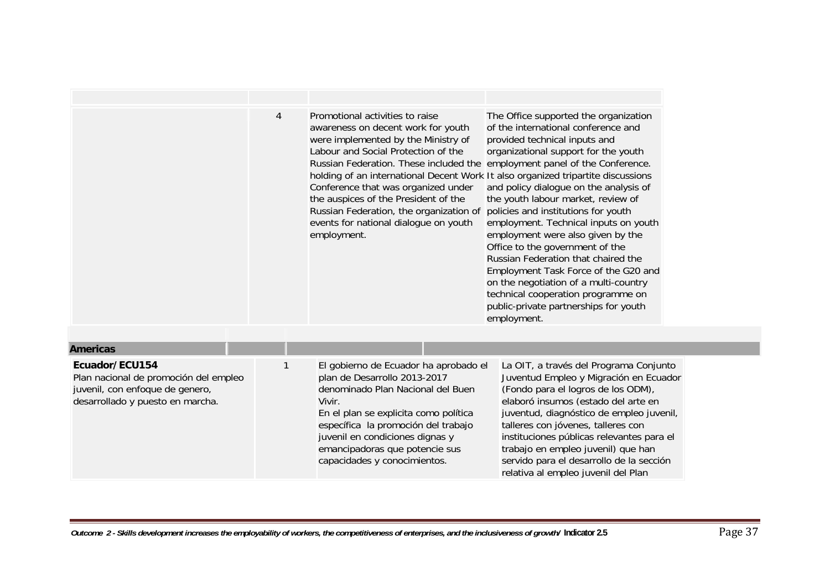|                                                                                                                                | 4 | Promotional activities to raise<br>awareness on decent work for youth<br>were implemented by the Ministry of<br>Labour and Social Protection of the<br>Russian Federation. These included the employment panel of the Conference.<br>holding of an international Decent Work It also organized tripartite discussions<br>Conference that was organized under<br>the auspices of the President of the<br>Russian Federation, the organization of<br>events for national dialogue on youth<br>employment. | The Office supported the organization<br>of the international conference and<br>provided technical inputs and<br>organizational support for the youth<br>and policy dialogue on the analysis of<br>the youth labour market, review of<br>policies and institutions for youth<br>employment. Technical inputs on youth<br>employment were also given by the<br>Office to the government of the<br>Russian Federation that chaired the<br>Employment Task Force of the G20 and<br>on the negotiation of a multi-country<br>technical cooperation programme on<br>public-private partnerships for youth<br>employment. |
|--------------------------------------------------------------------------------------------------------------------------------|---|---------------------------------------------------------------------------------------------------------------------------------------------------------------------------------------------------------------------------------------------------------------------------------------------------------------------------------------------------------------------------------------------------------------------------------------------------------------------------------------------------------|---------------------------------------------------------------------------------------------------------------------------------------------------------------------------------------------------------------------------------------------------------------------------------------------------------------------------------------------------------------------------------------------------------------------------------------------------------------------------------------------------------------------------------------------------------------------------------------------------------------------|
| <b>Americas</b>                                                                                                                |   |                                                                                                                                                                                                                                                                                                                                                                                                                                                                                                         |                                                                                                                                                                                                                                                                                                                                                                                                                                                                                                                                                                                                                     |
| Ecuador/ECU154<br>Plan nacional de promoción del empleo<br>juvenil, con enfoque de genero,<br>desarrollado y puesto en marcha. |   | El gobierno de Ecuador ha aprobado el<br>plan de Desarrollo 2013-2017<br>denominado Plan Nacional del Buen<br>Vivir.<br>En el plan se explicita como política<br>específica la promoción del trabajo<br>juvenil en condiciones dignas y<br>emancipadoras que potencie sus<br>capacidades y conocimientos.                                                                                                                                                                                               | La OIT, a través del Programa Conjunto<br>Juventud Empleo y Migración en Ecuador<br>(Fondo para el logros de los ODM),<br>elaboró insumos (estado del arte en<br>juventud, diagnóstico de empleo juvenil,<br>talleres con jóvenes, talleres con<br>instituciones públicas relevantes para el<br>trabajo en empleo juvenil) que han<br>servido para el desarrollo de la sección<br>relativa al empleo juvenil del Plan                                                                                                                                                                                               |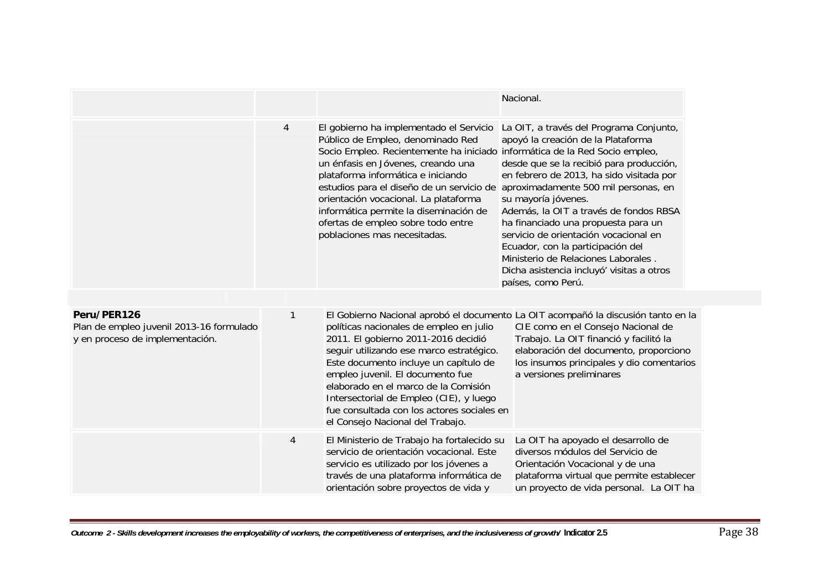|                                                                                            |                |                                                                                                                                                                                                                                                                                                                                                                                                                                                                                    | Nacional.                                                                                                                                                                                                                                                                                                                                                                                                                                                             |
|--------------------------------------------------------------------------------------------|----------------|------------------------------------------------------------------------------------------------------------------------------------------------------------------------------------------------------------------------------------------------------------------------------------------------------------------------------------------------------------------------------------------------------------------------------------------------------------------------------------|-----------------------------------------------------------------------------------------------------------------------------------------------------------------------------------------------------------------------------------------------------------------------------------------------------------------------------------------------------------------------------------------------------------------------------------------------------------------------|
|                                                                                            | $\overline{4}$ | El gobierno ha implementado el Servicio<br>Público de Empleo, denominado Red<br>Socio Empleo. Recientemente ha iniciado informática de la Red Socio empleo,<br>un énfasis en Jóvenes, creando una<br>plataforma informática e iniciando<br>estudios para el diseño de un servicio de aproximadamente 500 mil personas, en<br>orientación vocacional. La plataforma<br>informática permite la diseminación de<br>ofertas de empleo sobre todo entre<br>poblaciones mas necesitadas. | La OIT, a través del Programa Conjunto,<br>apoyó la creación de la Plataforma<br>desde que se la recibió para producción,<br>en febrero de 2013, ha sido visitada por<br>su mayoría jóvenes.<br>Además, la OIT a través de fondos RBSA<br>ha financiado una propuesta para un<br>servicio de orientación vocacional en<br>Ecuador, con la participación del<br>Ministerio de Relaciones Laborales.<br>Dicha asistencia incluyó' visitas a otros<br>países, como Perú. |
| Peru/PER126<br>Plan de empleo juvenil 2013-16 formulado<br>y en proceso de implementación. | $\mathbf{1}$   | políticas nacionales de empleo en julio<br>2011. El gobierno 2011-2016 decidió<br>seguir utilizando ese marco estratégico.<br>Este documento incluye un capítulo de<br>empleo juvenil. El documento fue<br>elaborado en el marco de la Comisión<br>Intersectorial de Empleo (CIE), y luego<br>fue consultada con los actores sociales en<br>el Consejo Nacional del Trabajo.                                                                                                       | El Gobierno Nacional aprobó el documento La OIT acompañó la discusión tanto en la<br>CIE como en el Consejo Nacional de<br>Trabajo. La OIT financió y facilitó la<br>elaboración del documento, proporciono<br>los insumos principales y dio comentarios<br>a versiones preliminares                                                                                                                                                                                  |
|                                                                                            | $\overline{4}$ | El Ministerio de Trabajo ha fortalecido su<br>servicio de orientación vocacional. Este<br>servicio es utilizado por los jóvenes a<br>través de una plataforma informática de<br>orientación sobre proyectos de vida y                                                                                                                                                                                                                                                              | La OIT ha apoyado el desarrollo de<br>diversos módulos del Servicio de<br>Orientación Vocacional y de una<br>plataforma virtual que permite establecer<br>un proyecto de vida personal. La OIT ha                                                                                                                                                                                                                                                                     |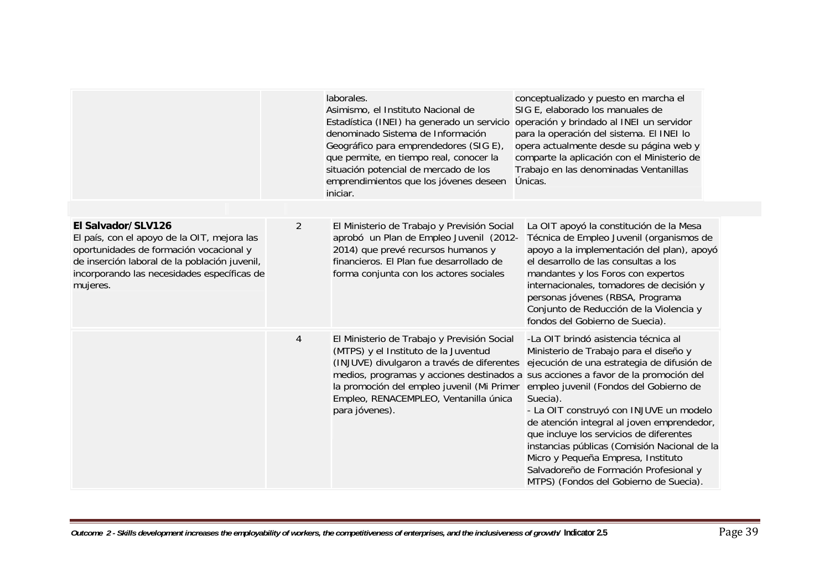|                                                                                                                                                                                                                          |                | laborales.<br>Asimismo, el Instituto Nacional de<br>Estadística (INEI) ha generado un servicio<br>denominado Sistema de Información<br>Geográfico para emprendedores (SIG E),<br>que permite, en tiempo real, conocer la<br>situación potencial de mercado de los<br>emprendimientos que los jóvenes deseen<br>iniciar. | conceptualizado y puesto en marcha el<br>SIG E, elaborado los manuales de<br>operación y brindado al INEI un servidor<br>para la operación del sistema. El INEI lo<br>opera actualmente desde su página web y<br>comparte la aplicación con el Ministerio de<br>Trabajo en las denominadas Ventanillas<br>Únicas.                                                                                                                                                                                                                                                                      |
|--------------------------------------------------------------------------------------------------------------------------------------------------------------------------------------------------------------------------|----------------|-------------------------------------------------------------------------------------------------------------------------------------------------------------------------------------------------------------------------------------------------------------------------------------------------------------------------|----------------------------------------------------------------------------------------------------------------------------------------------------------------------------------------------------------------------------------------------------------------------------------------------------------------------------------------------------------------------------------------------------------------------------------------------------------------------------------------------------------------------------------------------------------------------------------------|
| El Salvador/SLV126<br>El país, con el apoyo de la OIT, mejora las<br>oportunidades de formación vocacional y<br>de inserción laboral de la población juvenil,<br>incorporando las necesidades específicas de<br>mujeres. | 2              | El Ministerio de Trabajo y Previsión Social<br>aprobó un Plan de Empleo Juvenil (2012-<br>2014) que prevé recursos humanos y<br>financieros. El Plan fue desarrollado de<br>forma conjunta con los actores sociales                                                                                                     | La OIT apoyó la constitución de la Mesa<br>Técnica de Empleo Juvenil (organismos de<br>apoyo a la implementación del plan), apoyó<br>el desarrollo de las consultas a los<br>mandantes y los Foros con expertos<br>internacionales, tomadores de decisión y<br>personas jóvenes (RBSA, Programa<br>Conjunto de Reducción de la Violencia y<br>fondos del Gobierno de Suecia).                                                                                                                                                                                                          |
|                                                                                                                                                                                                                          | $\overline{4}$ | El Ministerio de Trabajo y Previsión Social<br>(MTPS) y el Instituto de la Juventud<br>(INJUVE) divulgaron a través de diferentes<br>la promoción del empleo juvenil (Mi Primer<br>Empleo, RENACEMPLEO, Ventanilla única<br>para jóvenes).                                                                              | -La OIT brindó asistencia técnica al<br>Ministerio de Trabajo para el diseño y<br>ejecución de una estrategia de difusión de<br>medios, programas y acciones destinados a sus acciones a favor de la promoción del<br>empleo juvenil (Fondos del Gobierno de<br>Suecia).<br>- La OIT construyó con INJUVE un modelo<br>de atención integral al joven emprendedor,<br>que incluye los servicios de diferentes<br>instancias públicas (Comisión Nacional de la<br>Micro y Pequeña Empresa, Instituto<br>Salvadoreño de Formación Profesional y<br>MTPS) (Fondos del Gobierno de Suecia). |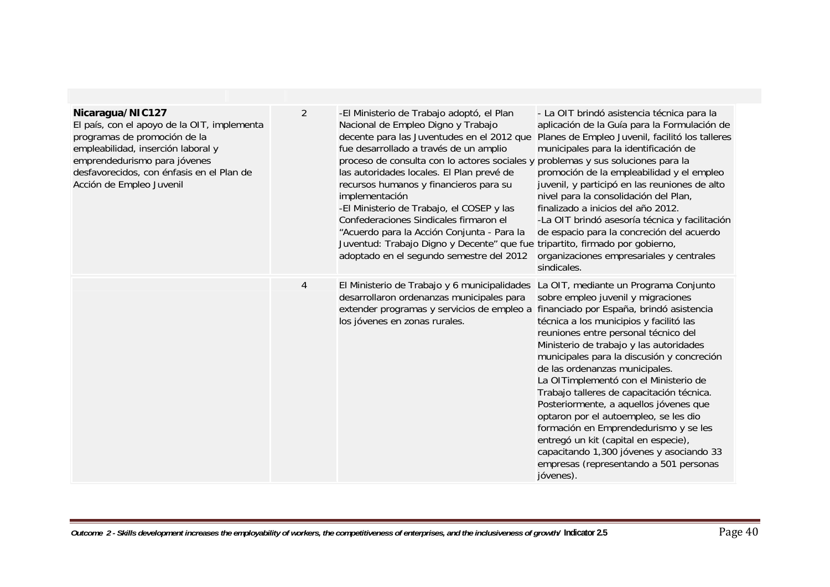| Nicaragua/NIC127<br>El país, con el apoyo de la OIT, implementa<br>programas de promoción de la<br>empleabilidad, inserción laboral y<br>emprendedurismo para jóvenes<br>desfavorecidos, con énfasis en el Plan de<br>Acción de Empleo Juvenil | $\overline{2}$ | -El Ministerio de Trabajo adoptó, el Plan<br>Nacional de Empleo Digno y Trabajo<br>decente para las Juventudes en el 2012 que<br>fue desarrollado a través de un amplio<br>proceso de consulta con lo actores sociales y problemas y sus soluciones para la<br>las autoridades locales. El Plan prevé de<br>recursos humanos y financieros para su<br>implementación<br>-El Ministerio de Trabajo, el COSEP y las<br>Confederaciones Sindicales firmaron el<br>"Acuerdo para la Acción Conjunta - Para la<br>Juventud: Trabajo Digno y Decente" que fue tripartito, firmado por gobierno,<br>adoptado en el segundo semestre del 2012 | - La OIT brindó asistencia técnica para la<br>aplicación de la Guía para la Formulación de<br>Planes de Empleo Juvenil, facilitó los talleres<br>municipales para la identificación de<br>promoción de la empleabilidad y el empleo<br>juvenil, y participó en las reuniones de alto<br>nivel para la consolidación del Plan,<br>finalizado a inicios del año 2012.<br>-La OIT brindó asesoría técnica y facilitación<br>de espacio para la concreción del acuerdo<br>organizaciones empresariales y centrales<br>sindicales.                                                                                                                                                                      |
|------------------------------------------------------------------------------------------------------------------------------------------------------------------------------------------------------------------------------------------------|----------------|---------------------------------------------------------------------------------------------------------------------------------------------------------------------------------------------------------------------------------------------------------------------------------------------------------------------------------------------------------------------------------------------------------------------------------------------------------------------------------------------------------------------------------------------------------------------------------------------------------------------------------------|----------------------------------------------------------------------------------------------------------------------------------------------------------------------------------------------------------------------------------------------------------------------------------------------------------------------------------------------------------------------------------------------------------------------------------------------------------------------------------------------------------------------------------------------------------------------------------------------------------------------------------------------------------------------------------------------------|
|                                                                                                                                                                                                                                                | $\overline{4}$ | El Ministerio de Trabajo y 6 municipalidades<br>desarrollaron ordenanzas municipales para<br>extender programas y servicios de empleo a<br>los jóvenes en zonas rurales.                                                                                                                                                                                                                                                                                                                                                                                                                                                              | La OIT, mediante un Programa Conjunto<br>sobre empleo juvenil y migraciones<br>financiado por España, brindó asistencia<br>técnica a los municipios y facilitó las<br>reuniones entre personal técnico del<br>Ministerio de trabajo y las autoridades<br>municipales para la discusión y concreción<br>de las ordenanzas municipales.<br>La OITimplementó con el Ministerio de<br>Trabajo talleres de capacitación técnica.<br>Posteriormente, a aquellos jóvenes que<br>optaron por el autoempleo, se les dio<br>formación en Emprendedurismo y se les<br>entregó un kit (capital en especie),<br>capacitando 1,300 jóvenes y asociando 33<br>empresas (representando a 501 personas<br>jóvenes). |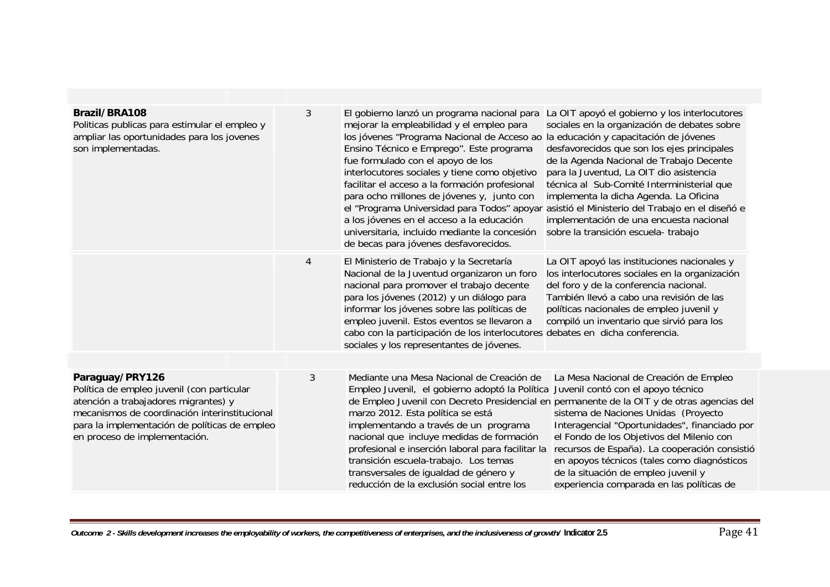| Brazil/BRA108<br>Politicas publicas para estimular el empleo y<br>ampliar las oportunidades para los jovenes<br>son implementadas.                                                                                                       | 3 | El gobierno lanzó un programa nacional para<br>mejorar la empleabilidad y el empleo para<br>los jóvenes "Programa Nacional de Acceso ao<br>Ensino Técnico e Emprego". Este programa<br>fue formulado con el apoyo de los<br>interlocutores sociales y tiene como objetivo<br>facilitar el acceso a la formación profesional<br>para ocho millones de jóvenes y, junto con<br>el "Programa Universidad para Todos" apoyar<br>a los jóvenes en el acceso a la educación<br>universitaria, incluido mediante la concesión<br>de becas para jóvenes desfavorecidos. | La OIT apoyó el gobierno y los interlocutores<br>sociales en la organización de debates sobre<br>la educación y capacitación de jóvenes<br>desfavorecidos que son los ejes principales<br>de la Agenda Nacional de Trabajo Decente<br>para la Juventud, La OIT dio asistencia<br>técnica al Sub-Comité Interministerial que<br>implementa la dicha Agenda. La Oficina<br>asistió el Ministerio del Trabajo en el diseñó e<br>implementación de una encuesta nacional<br>sobre la transición escuela- trabajo |
|------------------------------------------------------------------------------------------------------------------------------------------------------------------------------------------------------------------------------------------|---|-----------------------------------------------------------------------------------------------------------------------------------------------------------------------------------------------------------------------------------------------------------------------------------------------------------------------------------------------------------------------------------------------------------------------------------------------------------------------------------------------------------------------------------------------------------------|--------------------------------------------------------------------------------------------------------------------------------------------------------------------------------------------------------------------------------------------------------------------------------------------------------------------------------------------------------------------------------------------------------------------------------------------------------------------------------------------------------------|
|                                                                                                                                                                                                                                          | 4 | El Ministerio de Trabajo y la Secretaría<br>Nacional de la Juventud organizaron un foro<br>nacional para promover el trabajo decente<br>para los jóvenes (2012) y un diálogo para<br>informar los jóvenes sobre las políticas de<br>empleo juvenil. Estos eventos se llevaron a<br>cabo con la participación de los interlocutores debates en dicha conferencia.<br>sociales y los representantes de jóvenes.                                                                                                                                                   | La OIT apoyó las instituciones nacionales y<br>los interlocutores sociales en la organización<br>del foro y de la conferencia nacional.<br>También llevó a cabo una revisión de las<br>políticas nacionales de empleo juvenil y<br>compiló un inventario que sirvió para los                                                                                                                                                                                                                                 |
| Paraguay/PRY126<br>Política de empleo juvenil (con particular<br>atención a trabajadores migrantes) y<br>mecanismos de coordinación interinstitucional<br>para la implementación de políticas de empleo<br>en proceso de implementación. | 3 | Mediante una Mesa Nacional de Creación de<br>Empleo Juvenil, el gobierno adoptó la Política<br>marzo 2012. Esta política se está<br>implementando a través de un programa<br>nacional que incluye medidas de formación<br>profesional e inserción laboral para facilitar la<br>transición escuela-trabajo. Los temas<br>transversales de igualdad de género y<br>reducción de la exclusión social entre los                                                                                                                                                     | La Mesa Nacional de Creación de Empleo<br>Juvenil contó con el apoyo técnico<br>de Empleo Juvenil con Decreto Presidencial en permanente de la OIT y de otras agencias del<br>sistema de Naciones Unidas (Proyecto<br>Interagencial "Oportunidades", financiado por<br>el Fondo de los Objetivos del Milenio con<br>recursos de España). La cooperación consistió<br>en apoyos técnicos (tales como diagnósticos<br>de la situación de empleo juvenil y<br>experiencia comparada en las políticas de         |